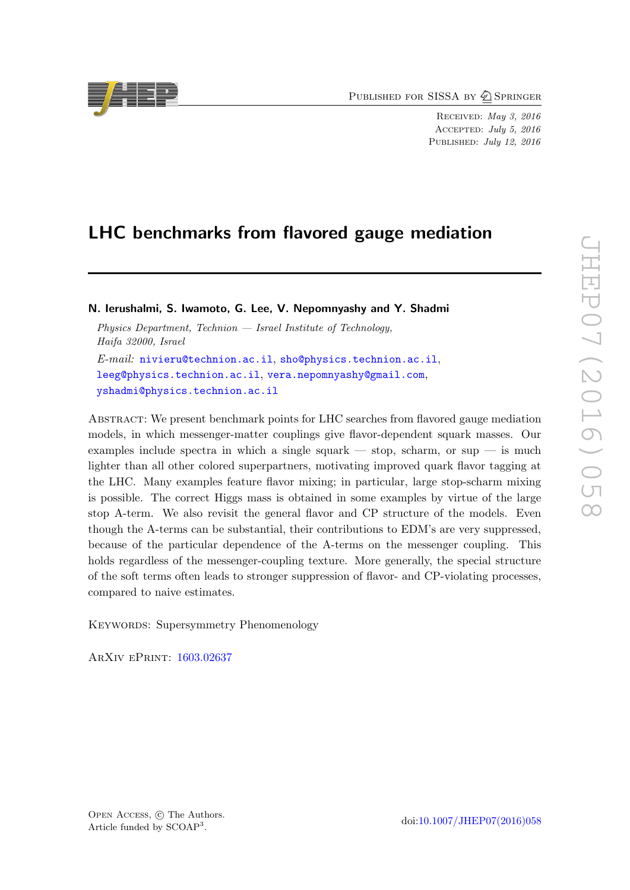PUBLISHED FOR SISSA BY 2 SPRINGER

Received: May 3, 2016 Accepted: July 5, 2016 PUBLISHED: July 12, 2016

# LHC benchmarks from flavored gauge mediation

N. Ierushalmi, S. Iwamoto, G. Lee, V. Nepomnyashy and Y. Shadmi

Physics Department, Technion  $-$  Israel Institute of Technology, Haifa 32000, Israel E-mail: [nivieru@technion.ac.il](mailto:nivieru@technion.ac.il), [sho@physics.technion.ac.il](mailto:sho@physics.technion.ac.il), [leeg@physics.technion.ac.il](mailto:leeg@physics.technion.ac.il), [vera.nepomnyashy@gmail.com](mailto:vera.nepomnyashy@gmail.com), [yshadmi@physics.technion.ac.il](mailto:yshadmi@physics.technion.ac.il)

Abstract: We present benchmark points for LHC searches from flavored gauge mediation models, in which messenger-matter couplings give flavor-dependent squark masses. Our examples include spectra in which a single squark — stop, scharm, or sup — is much lighter than all other colored superpartners, motivating improved quark flavor tagging at the LHC. Many examples feature flavor mixing; in particular, large stop-scharm mixing is possible. The correct Higgs mass is obtained in some examples by virtue of the large stop A-term. We also revisit the general flavor and CP structure of the models. Even though the A-terms can be substantial, their contributions to EDM's are very suppressed, because of the particular dependence of the A-terms on the messenger coupling. This holds regardless of the messenger-coupling texture. More generally, the special structure of the soft terms often leads to stronger suppression of flavor- and CP-violating processes, compared to naive estimates.

KEYWORDS: Supersymmetry Phenomenology

ArXiv ePrint: [1603.02637](http://arxiv.org/abs/1603.02637)

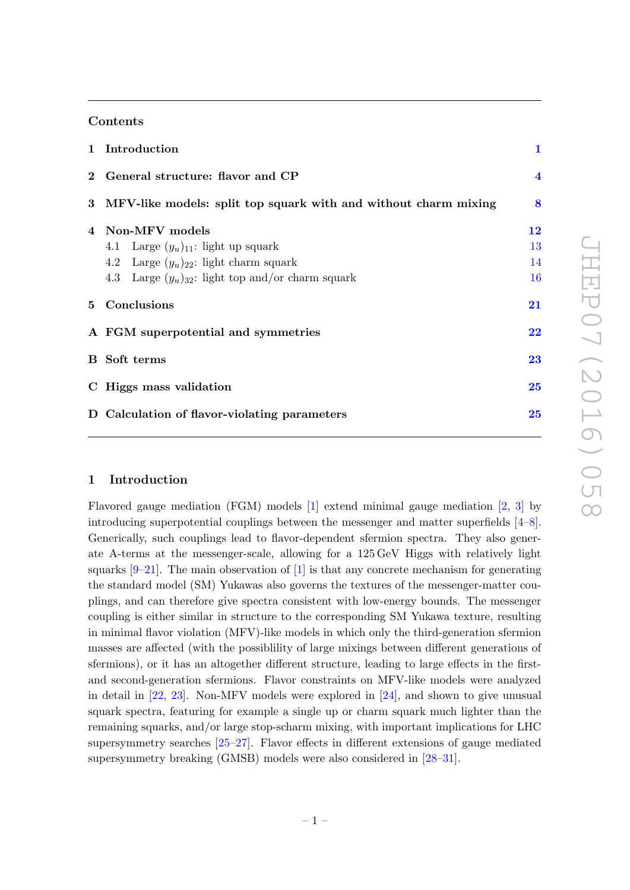## Contents

| 1 Introduction                                                    | $\mathbf{1}$            |  |
|-------------------------------------------------------------------|-------------------------|--|
| 2 General structure: flavor and CP                                | $\overline{\mathbf{4}}$ |  |
| 3 MFV-like models: split top squark with and without charm mixing | 8                       |  |
| 4 Non-MFV models                                                  | 12                      |  |
| 4.1 Large $(y_u)_{11}$ : light up squark                          | 13                      |  |
| 4.2 Large $(y_u)_{22}$ : light charm squark                       | 14                      |  |
| 4.3 Large $(y_u)_{32}$ : light top and/or charm squark            | 16                      |  |
| 5 Conclusions                                                     | 21                      |  |
| A FGM superpotential and symmetries                               | $\overline{22}$         |  |
| <b>B</b> Soft terms                                               |                         |  |
| C Higgs mass validation                                           | 25                      |  |
| D Calculation of flavor-violating parameters                      | 25                      |  |

## <span id="page-1-0"></span>1 Introduction

Flavored gauge mediation (FGM) models [\[1\]](#page-26-0) extend minimal gauge mediation [\[2,](#page-26-1) [3\]](#page-26-2) by introducing superpotential couplings between the messenger and matter superfields [\[4](#page-26-3)[–8\]](#page-27-0). Generically, such couplings lead to flavor-dependent sfermion spectra. They also generate A-terms at the messenger-scale, allowing for a 125 GeV Higgs with relatively light squarks  $[9-21]$  $[9-21]$ . The main observation of  $[1]$  is that any concrete mechanism for generating the standard model (SM) Yukawas also governs the textures of the messenger-matter couplings, and can therefore give spectra consistent with low-energy bounds. The messenger coupling is either similar in structure to the corresponding SM Yukawa texture, resulting in minimal flavor violation (MFV)-like models in which only the third-generation sfermion masses are affected (with the possiblility of large mixings between different generations of sfermions), or it has an altogether different structure, leading to large effects in the firstand second-generation sfermions. Flavor constraints on MFV-like models were analyzed in detail in [\[22,](#page-27-3) [23\]](#page-27-4). Non-MFV models were explored in [\[24\]](#page-28-0), and shown to give unusual squark spectra, featuring for example a single up or charm squark much lighter than the remaining squarks, and/or large stop-scharm mixing, with important implications for LHC supersymmetry searches [\[25](#page-28-1)[–27\]](#page-28-2). Flavor effects in different extensions of gauge mediated supersymmetry breaking (GMSB) models were also considered in [\[28–](#page-28-3)[31\]](#page-28-4).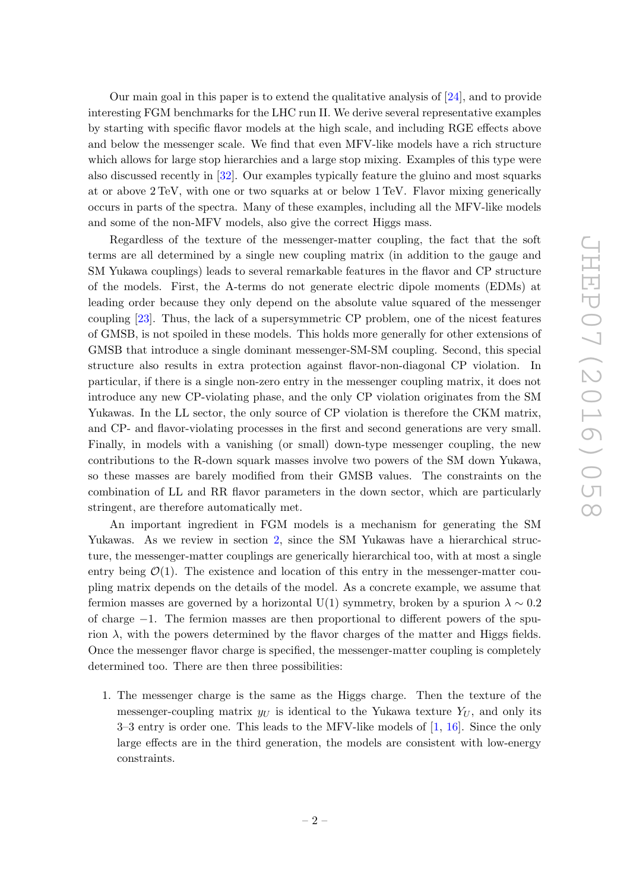Our main goal in this paper is to extend the qualitative analysis of [\[24\]](#page-28-0), and to provide interesting FGM benchmarks for the LHC run II. We derive several representative examples by starting with specific flavor models at the high scale, and including RGE effects above and below the messenger scale. We find that even MFV-like models have a rich structure which allows for large stop hierarchies and a large stop mixing. Examples of this type were also discussed recently in [\[32\]](#page-28-5). Our examples typically feature the gluino and most squarks at or above 2 TeV, with one or two squarks at or below 1 TeV. Flavor mixing generically occurs in parts of the spectra. Many of these examples, including all the MFV-like models and some of the non-MFV models, also give the correct Higgs mass.

Regardless of the texture of the messenger-matter coupling, the fact that the soft terms are all determined by a single new coupling matrix (in addition to the gauge and SM Yukawa couplings) leads to several remarkable features in the flavor and CP structure of the models. First, the A-terms do not generate electric dipole moments (EDMs) at leading order because they only depend on the absolute value squared of the messenger coupling [\[23\]](#page-27-4). Thus, the lack of a supersymmetric CP problem, one of the nicest features of GMSB, is not spoiled in these models. This holds more generally for other extensions of GMSB that introduce a single dominant messenger-SM-SM coupling. Second, this special structure also results in extra protection against flavor-non-diagonal CP violation. In particular, if there is a single non-zero entry in the messenger coupling matrix, it does not introduce any new CP-violating phase, and the only CP violation originates from the SM Yukawas. In the LL sector, the only source of CP violation is therefore the CKM matrix, and CP- and flavor-violating processes in the first and second generations are very small. Finally, in models with a vanishing (or small) down-type messenger coupling, the new contributions to the R-down squark masses involve two powers of the SM down Yukawa, so these masses are barely modified from their GMSB values. The constraints on the combination of LL and RR flavor parameters in the down sector, which are particularly stringent, are therefore automatically met.

An important ingredient in FGM models is a mechanism for generating the SM Yukawas. As we review in section [2,](#page-4-0) since the SM Yukawas have a hierarchical structure, the messenger-matter couplings are generically hierarchical too, with at most a single entry being  $\mathcal{O}(1)$ . The existence and location of this entry in the messenger-matter coupling matrix depends on the details of the model. As a concrete example, we assume that fermion masses are governed by a horizontal U(1) symmetry, broken by a spurion  $\lambda \sim 0.2$ of charge −1. The fermion masses are then proportional to different powers of the spurion  $\lambda$ , with the powers determined by the flavor charges of the matter and Higgs fields. Once the messenger flavor charge is specified, the messenger-matter coupling is completely determined too. There are then three possibilities:

1. The messenger charge is the same as the Higgs charge. Then the texture of the messenger-coupling matrix  $y_U$  is identical to the Yukawa texture  $Y_U$ , and only its 3–3 entry is order one. This leads to the MFV-like models of [\[1,](#page-26-0) [16\]](#page-27-5). Since the only large effects are in the third generation, the models are consistent with low-energy constraints.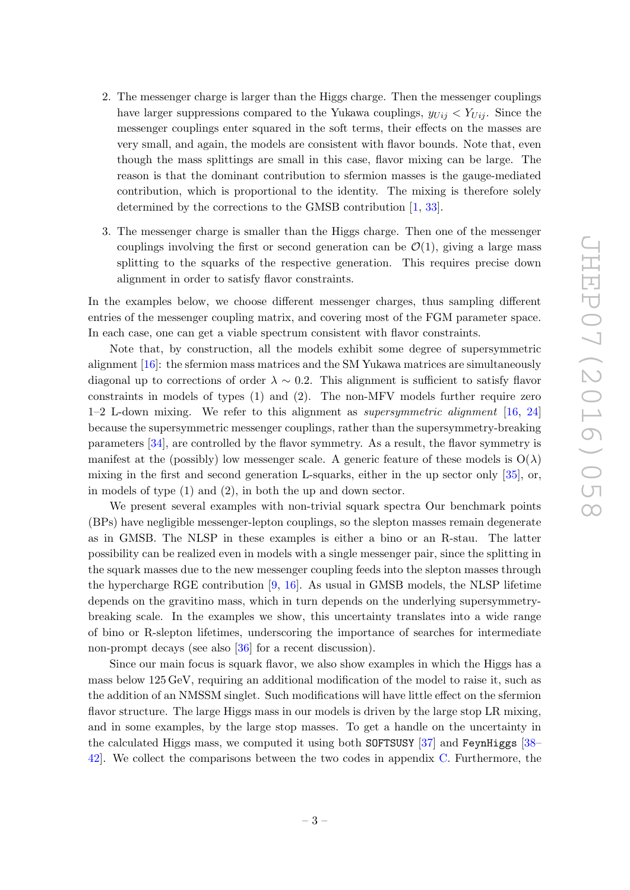- 2. The messenger charge is larger than the Higgs charge. Then the messenger couplings have larger suppressions compared to the Yukawa couplings,  $y_{Ui} < Y_{Ui}$ . Since the messenger couplings enter squared in the soft terms, their effects on the masses are very small, and again, the models are consistent with flavor bounds. Note that, even though the mass splittings are small in this case, flavor mixing can be large. The reason is that the dominant contribution to sfermion masses is the gauge-mediated contribution, which is proportional to the identity. The mixing is therefore solely determined by the corrections to the GMSB contribution [\[1,](#page-26-0) [33\]](#page-28-6).
- 3. The messenger charge is smaller than the Higgs charge. Then one of the messenger couplings involving the first or second generation can be  $\mathcal{O}(1)$ , giving a large mass splitting to the squarks of the respective generation. This requires precise down alignment in order to satisfy flavor constraints.

In the examples below, we choose different messenger charges, thus sampling different entries of the messenger coupling matrix, and covering most of the FGM parameter space. In each case, one can get a viable spectrum consistent with flavor constraints.

Note that, by construction, all the models exhibit some degree of supersymmetric alignment [\[16\]](#page-27-5): the sfermion mass matrices and the SM Yukawa matrices are simultaneously diagonal up to corrections of order  $\lambda \sim 0.2$ . This alignment is sufficient to satisfy flavor constraints in models of types (1) and (2). The non-MFV models further require zero  $1-2$  L-down mixing. We refer to this alignment as *supersymmetric alignment* [\[16,](#page-27-5) [24\]](#page-28-0) because the supersymmetric messenger couplings, rather than the supersymmetry-breaking parameters [\[34\]](#page-28-7), are controlled by the flavor symmetry. As a result, the flavor symmetry is manifest at the (possibly) low messenger scale. A generic feature of these models is  $O(\lambda)$ mixing in the first and second generation L-squarks, either in the up sector only [\[35\]](#page-28-8), or, in models of type (1) and (2), in both the up and down sector.

We present several examples with non-trivial squark spectra Our benchmark points (BPs) have negligible messenger-lepton couplings, so the slepton masses remain degenerate as in GMSB. The NLSP in these examples is either a bino or an R-stau. The latter possibility can be realized even in models with a single messenger pair, since the splitting in the squark masses due to the new messenger coupling feeds into the slepton masses through the hypercharge RGE contribution [\[9,](#page-27-1) [16\]](#page-27-5). As usual in GMSB models, the NLSP lifetime depends on the gravitino mass, which in turn depends on the underlying supersymmetrybreaking scale. In the examples we show, this uncertainty translates into a wide range of bino or R-slepton lifetimes, underscoring the importance of searches for intermediate non-prompt decays (see also [\[36\]](#page-28-9) for a recent discussion).

Since our main focus is squark flavor, we also show examples in which the Higgs has a mass below 125 GeV, requiring an additional modification of the model to raise it, such as the addition of an NMSSM singlet. Such modifications will have little effect on the sfermion flavor structure. The large Higgs mass in our models is driven by the large stop LR mixing, and in some examples, by the large stop masses. To get a handle on the uncertainty in the calculated Higgs mass, we computed it using both SOFTSUSY [\[37\]](#page-28-10) and FeynHiggs [\[38–](#page-28-11) [42\]](#page-29-0). We collect the comparisons between the two codes in appendix [C.](#page-25-0) Furthermore, the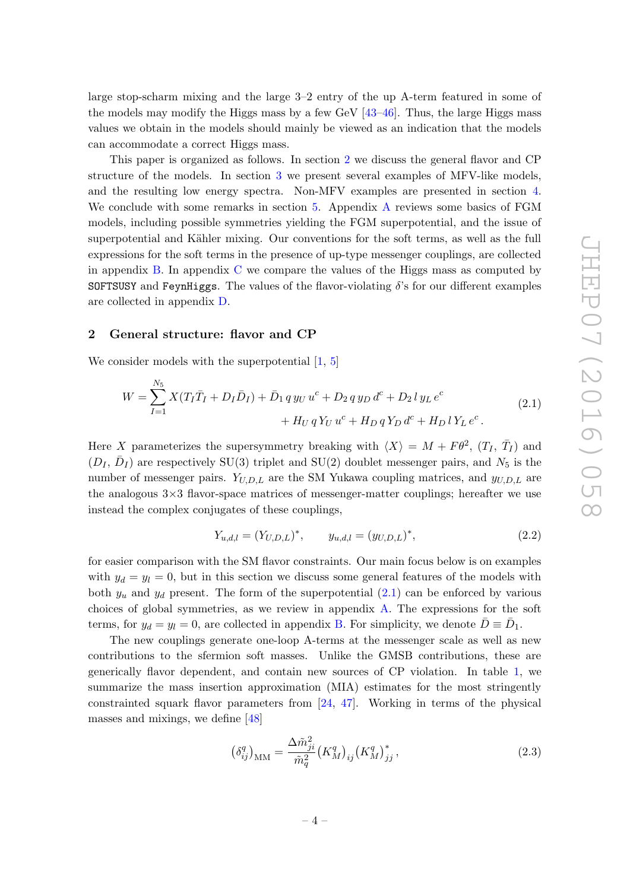large stop-scharm mixing and the large 3–2 entry of the up A-term featured in some of the models may modify the Higgs mass by a few GeV [\[43](#page-29-1)[–46\]](#page-29-2). Thus, the large Higgs mass values we obtain in the models should mainly be viewed as an indication that the models can accommodate a correct Higgs mass.

This paper is organized as follows. In section [2](#page-4-0) we discuss the general flavor and CP structure of the models. In section [3](#page-8-0) we present several examples of MFV-like models, and the resulting low energy spectra. Non-MFV examples are presented in section [4.](#page-12-0) We conclude with some remarks in section [5.](#page-21-0) Appendix [A](#page-22-0) reviews some basics of FGM models, including possible symmetries yielding the FGM superpotential, and the issue of superpotential and Kähler mixing. Our conventions for the soft terms, as well as the full expressions for the soft terms in the presence of up-type messenger couplings, are collected in appendix [B.](#page-23-0) In appendix [C](#page-25-0) we compare the values of the Higgs mass as computed by SOFTSUSY and FeynHiggs. The values of the flavor-violating  $\delta$ 's for our different examples are collected in appendix [D.](#page-25-1)

#### <span id="page-4-0"></span>2 General structure: flavor and CP

We consider models with the superpotential  $[1, 5]$  $[1, 5]$  $[1, 5]$ 

<span id="page-4-1"></span>
$$
W = \sum_{I=1}^{N_5} X(T_I \bar{T}_I + D_I \bar{D}_I) + \bar{D}_1 q y_U u^c + D_2 q y_D d^c + D_2 l y_L e^c
$$
  
+ 
$$
H_U q Y_U u^c + H_D q Y_D d^c + H_D l Y_L e^c.
$$
 (2.1)

Here X parameterizes the supersymmetry breaking with  $\langle X \rangle = M + F \theta^2$ ,  $(T_I, \bar{T}_I)$  and  $(D_I, \bar{D}_I)$  are respectively SU(3) triplet and SU(2) doublet messenger pairs, and  $N_5$  is the number of messenger pairs.  $Y_{U,D,L}$  are the SM Yukawa coupling matrices, and  $y_{U,D,L}$  are the analogous  $3\times3$  flavor-space matrices of messenger-matter couplings; hereafter we use instead the complex conjugates of these couplings,

$$
Y_{u,d,l} = (Y_{U,D,L})^*, \qquad y_{u,d,l} = (y_{U,D,L})^*, \tag{2.2}
$$

for easier comparison with the SM flavor constraints. Our main focus below is on examples with  $y_d = y_l = 0$ , but in this section we discuss some general features of the models with both  $y_u$  and  $y_d$  present. The form of the superpotential  $(2.1)$  can be enforced by various choices of global symmetries, as we review in appendix [A.](#page-22-0) The expressions for the soft terms, for  $y_d = y_l = 0$ , are collected in appendix [B.](#page-23-0) For simplicity, we denote  $\bar{D} \equiv \bar{D}_1$ .

The new couplings generate one-loop A-terms at the messenger scale as well as new contributions to the sfermion soft masses. Unlike the GMSB contributions, these are generically flavor dependent, and contain new sources of CP violation. In table [1,](#page-5-0) we summarize the mass insertion approximation (MIA) estimates for the most stringently constrainted squark flavor parameters from [\[24,](#page-28-0) [47\]](#page-29-3). Working in terms of the physical masses and mixings, we define [\[48\]](#page-29-4)

$$
\left(\delta_{ij}^q\right)_{\rm MM} = \frac{\Delta \tilde{m}_{ji}^2}{\tilde{m}_q^2} \left(K_M^q\right)_{ij} \left(K_M^q\right)_{jj}^*,\tag{2.3}
$$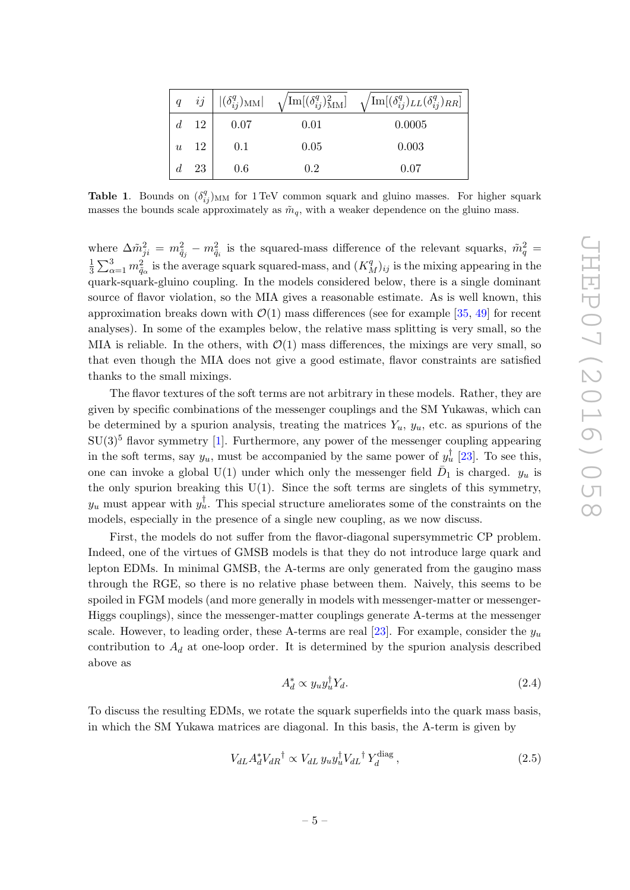|                  |      | $q\quad ij \mid  (\delta_{ij}^q)_{\rm MM} $ | $\sqrt{{\rm Im}[(\delta_{ij}^q)_{\rm MM}^2]}$ | $\sqrt{\text{Im}[(\delta_{ij}^q)_{LL}(\delta_{ij}^q)_{RR}]}$ |
|------------------|------|---------------------------------------------|-----------------------------------------------|--------------------------------------------------------------|
| d.               | 12   | 0.07                                        | 0.01                                          | 0.0005                                                       |
| $\boldsymbol{u}$ | - 12 | 0.1                                         | 0.05                                          | 0.003                                                        |
| d.               | 23   | 0.6                                         | 0.2                                           | 0.07                                                         |

<span id="page-5-0"></span>**Table 1.** Bounds on  $(\delta_{ij}^q)_{\text{MM}}$  for 1 TeV common squark and gluino masses. For higher squark masses the bounds scale approximately as  $\tilde{m}_q$ , with a weaker dependence on the gluino mass.

where  $\Delta \tilde{m}_{ji}^2 = m_{\tilde{q}_j}^2 - m_{\tilde{q}_i}^2$  is the squared-mass difference of the relevant squarks,  $\tilde{m}_q^2 =$ 1  $\frac{1}{3}\sum_{\alpha=1}^3 m_{\tilde{q}_\alpha}^2$  is the average squark squared-mass, and  $(K_M^q)_{ij}$  is the mixing appearing in the quark-squark-gluino coupling. In the models considered below, there is a single dominant source of flavor violation, so the MIA gives a reasonable estimate. As is well known, this approximation breaks down with  $\mathcal{O}(1)$  mass differences (see for example [\[35,](#page-28-8) [49\]](#page-29-5) for recent analyses). In some of the examples below, the relative mass splitting is very small, so the MIA is reliable. In the others, with  $\mathcal{O}(1)$  mass differences, the mixings are very small, so that even though the MIA does not give a good estimate, flavor constraints are satisfied thanks to the small mixings.

The flavor textures of the soft terms are not arbitrary in these models. Rather, they are given by specific combinations of the messenger couplings and the SM Yukawas, which can be determined by a spurion analysis, treating the matrices  $Y_u$ ,  $y_u$ , etc. as spurions of the  $SU(3)^5$  flavor symmetry [\[1\]](#page-26-0). Furthermore, any power of the messenger coupling appearing in the soft terms, say  $y_u$ , must be accompanied by the same power of  $y_u^{\dagger}$  [\[23\]](#page-27-4). To see this, one can invoke a global U(1) under which only the messenger field  $\bar{D}_1$  is charged.  $y_u$  is the only spurion breaking this  $U(1)$ . Since the soft terms are singlets of this symmetry,  $y_u$  must appear with  $y_u^{\dagger}$ . This special structure ameliorates some of the constraints on the models, especially in the presence of a single new coupling, as we now discuss.

First, the models do not suffer from the flavor-diagonal supersymmetric CP problem. Indeed, one of the virtues of GMSB models is that they do not introduce large quark and lepton EDMs. In minimal GMSB, the A-terms are only generated from the gaugino mass through the RGE, so there is no relative phase between them. Naively, this seems to be spoiled in FGM models (and more generally in models with messenger-matter or messenger-Higgs couplings), since the messenger-matter couplings generate A-terms at the messenger scale. However, to leading order, these A-terms are real [\[23\]](#page-27-4). For example, consider the  $y_u$ contribution to  $A_d$  at one-loop order. It is determined by the spurion analysis described above as

$$
A_d^* \propto y_u y_u^\dagger Y_d. \tag{2.4}
$$

To discuss the resulting EDMs, we rotate the squark superfields into the quark mass basis, in which the SM Yukawa matrices are diagonal. In this basis, the A-term is given by

$$
V_{dL} A_d^* V_{dR}^\dagger \propto V_{dL} y_u y_u^\dagger V_{dL}^\dagger Y_d^{\text{diag}},\tag{2.5}
$$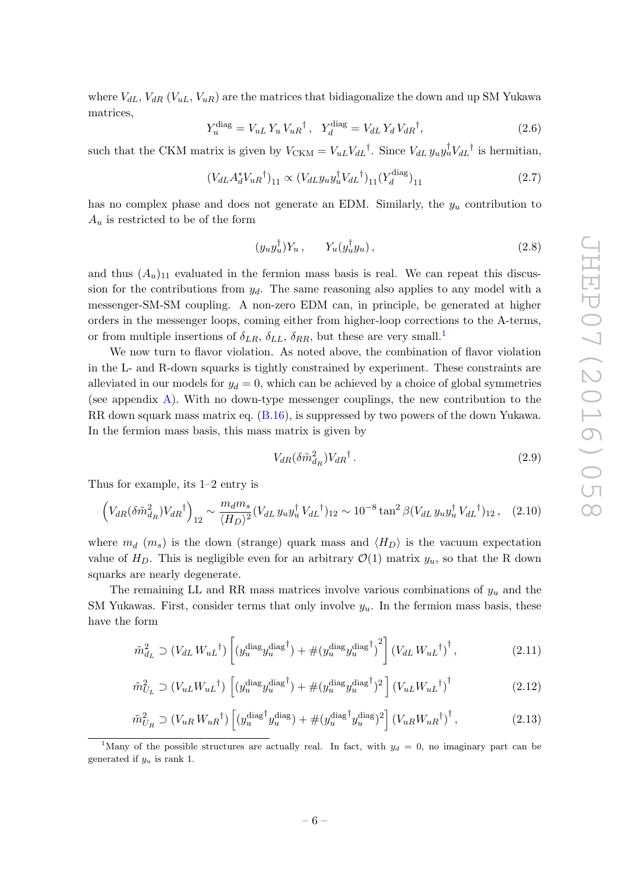where  $V_{dL}$ ,  $V_{dR}$  ( $V_{uL}$ ,  $V_{uR}$ ) are the matrices that bidiagonalize the down and up SM Yukawa matrices,

$$
Y_u^{\text{diag}} = V_{uL} Y_u V_{uR}^\dagger, \quad Y_d^{\text{diag}} = V_{dL} Y_d V_{dR}^\dagger,\tag{2.6}
$$

such that the CKM matrix is given by  $V_{\text{CKM}} = V_{uL} V_{dL}^{\dagger}$ . Since  $V_{dL} y_u y_u^{\dagger} V_{dL}^{\dagger}$  is hermitian,

$$
(V_{dL}A_d^*V_{uR}^{\dagger})_{11} \propto (V_{dL}y_{u}y_{u}^{\dagger}V_{dL}^{\dagger})_{11}(Y_d^{\text{diag}})_{11}
$$
 (2.7)

has no complex phase and does not generate an EDM. Similarly, the  $y_u$  contribution to  $A_u$  is restricted to be of the form

$$
(y_u y_u^{\dagger}) Y_u , \qquad Y_u(y_u^{\dagger} y_u) , \qquad (2.8)
$$

and thus  $(A_u)_{11}$  evaluated in the fermion mass basis is real. We can repeat this discussion for the contributions from  $y_d$ . The same reasoning also applies to any model with a messenger-SM-SM coupling. A non-zero EDM can, in principle, be generated at higher orders in the messenger loops, coming either from higher-loop corrections to the A-terms, or from multiple insertions of  $\delta_{LR}$ ,  $\delta_{LL}$ ,  $\delta_{RR}$ , but these are very small.<sup>[1](#page-6-0)</sup>

We now turn to flavor violation. As noted above, the combination of flavor violation in the L- and R-down squarks is tightly constrained by experiment. These constraints are alleviated in our models for  $y_d = 0$ , which can be achieved by a choice of global symmetries (see appendix  $\vec{A}$ ). With no down-type messenger couplings, the new contribution to the RR down squark mass matrix eq. [\(B.16\)](#page-24-0), is suppressed by two powers of the down Yukawa. In the fermion mass basis, this mass matrix is given by

<span id="page-6-1"></span>
$$
V_{dR}(\delta \tilde{m}_{dR}^2) V_{dR}^{\dagger} \,. \tag{2.9}
$$

Thus for example, its 1–2 entry is

$$
\left(V_{dR}(\delta\tilde{m}_{dR}^2)V_{dR}^\dagger\right)_{12} \sim \frac{m_d m_s}{\langle H_D \rangle^2} (V_{dL} y_u y_u^\dagger V_{dL}^\dagger)_{12} \sim 10^{-8} \tan^2\beta (V_{dL} y_u y_u^\dagger V_{dL}^\dagger)_{12} , \quad (2.10)
$$

where  $m_d$  (m<sub>s</sub>) is the down (strange) quark mass and  $\langle H_D \rangle$  is the vacuum expectation value of  $H_D$ . This is negligible even for an arbitrary  $\mathcal{O}(1)$  matrix  $y_u$ , so that the R down squarks are nearly degenerate.

The remaining LL and RR mass matrices involve various combinations of  $y_u$  and the SM Yukawas. First, consider terms that only involve  $y_u$ . In the fermion mass basis, these have the form

$$
\tilde{m}_{d_L}^2 \supset (V_{dL} W_{uL}^{\dagger}) \left[ (y_u^{\text{diag}} y_u^{\text{diag}\dagger}) + \# (y_u^{\text{diag}} y_u^{\text{diag}\dagger})^2 \right] (V_{dL} W_{uL}^{\dagger})^{\dagger}, \tag{2.11}
$$

$$
\tilde{m}_{U_L}^2 \supset (V_{uL}W_{uL}^\dagger) \left[ (y_u^{\text{diag}} y_u^{\text{diag}^\dagger}) + \# (y_u^{\text{diag}} y_u^{\text{diag}^\dagger})^2 \right] (V_{uL}W_{uL}^\dagger)^\dagger \tag{2.12}
$$

$$
\tilde{m}_{U_R}^2 \supset (V_{uR} W_{uR}^{\dagger}) \left[ (y_u^{\text{diag}^{\dagger}} y_u^{\text{diag}}) + \# (y_u^{\text{diag}^{\dagger}} y_u^{\text{diag}})^2 \right] (V_{uR} W_{uR}^{\dagger})^{\dagger}, \tag{2.13}
$$

<span id="page-6-0"></span><sup>1</sup>Many of the possible structures are actually real. In fact, with  $y_d = 0$ , no imaginary part can be generated if  $y_u$  is rank 1.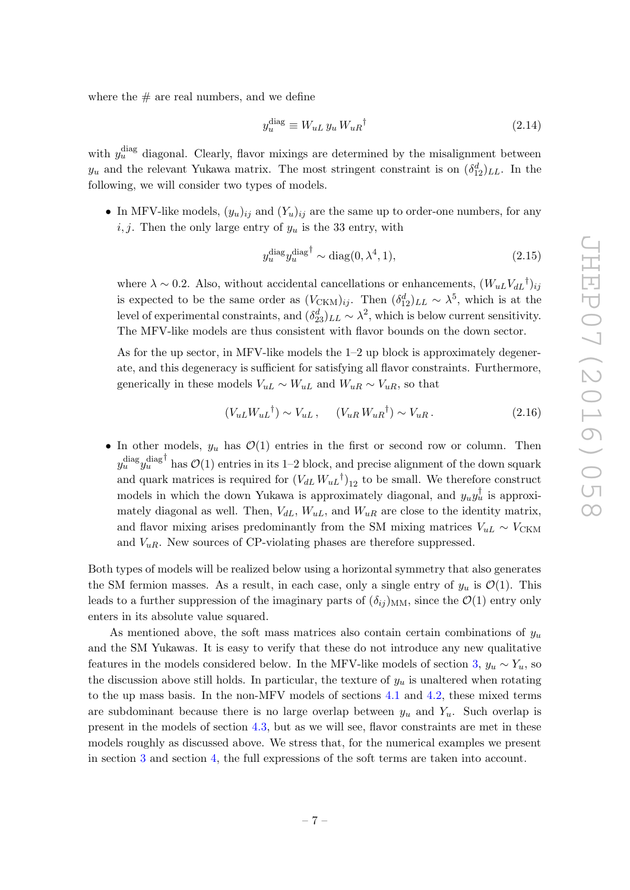where the  $\#$  are real numbers, and we define

$$
y_u^{\text{diag}} \equiv W_{uL} \, y_u \, W_{uR}{}^{\dagger} \tag{2.14}
$$

with  $y_u^{\text{diag}}$  diagonal. Clearly, flavor mixings are determined by the misalignment between  $y_u$  and the relevant Yukawa matrix. The most stringent constraint is on  $(\delta_{12}^d)_{LL}$ . In the following, we will consider two types of models.

• In MFV-like models,  $(y_u)_{ij}$  and  $(Y_u)_{ij}$  are the same up to order-one numbers, for any i, j. Then the only large entry of  $y_u$  is the 33 entry, with

$$
y_u^{\text{diag}} y_u^{\text{diag}^\dagger} \sim \text{diag}(0, \lambda^4, 1),\tag{2.15}
$$

where  $\lambda \sim 0.2$ . Also, without accidental cancellations or enhancements,  $(W_{uL}V_{dL}^{\dagger})_{ij}$ is expected to be the same order as  $(V_{\text{CKM}})_{ij}$ . Then  $(\delta_{12}^d)_{LL} \sim \lambda^5$ , which is at the level of experimental constraints, and  $(\delta_{23}^d)_{LL} \sim \lambda^2$ , which is below current sensitivity. The MFV-like models are thus consistent with flavor bounds on the down sector.

As for the up sector, in MFV-like models the 1–2 up block is approximately degenerate, and this degeneracy is sufficient for satisfying all flavor constraints. Furthermore, generically in these models  $V_{uL} \sim W_{uL}$  and  $W_{uR} \sim V_{uR}$ , so that

$$
(V_{uL}W_{uL}^{\dagger}) \sim V_{uL} , \quad (V_{uR}W_{uR}^{\dagger}) \sim V_{uR} . \tag{2.16}
$$

• In other models,  $y_u$  has  $\mathcal{O}(1)$  entries in the first or second row or column. Then  $y_u^{\text{diag}}y_u^{\text{diag}}$ <sup>†</sup> has  $\mathcal{O}(1)$  entries in its 1–2 block, and precise alignment of the down squark and quark matrices is required for  $(V_{dL} W_{uL}^{\dagger})_{12}$  to be small. We therefore construct models in which the down Yukawa is approximately diagonal, and  $y_uy_u^{\dagger}$  is approximately diagonal as well. Then,  $V_{dL}$ ,  $W_{uL}$ , and  $W_{uR}$  are close to the identity matrix, and flavor mixing arises predominantly from the SM mixing matrices  $V_{uL} \sim V_{CKM}$ and  $V_{uR}$ . New sources of CP-violating phases are therefore suppressed.

Both types of models will be realized below using a horizontal symmetry that also generates the SM fermion masses. As a result, in each case, only a single entry of  $y_u$  is  $\mathcal{O}(1)$ . This leads to a further suppression of the imaginary parts of  $(\delta_{ij})_{MM}$ , since the  $\mathcal{O}(1)$  entry only enters in its absolute value squared.

As mentioned above, the soft mass matrices also contain certain combinations of  $y_u$ and the SM Yukawas. It is easy to verify that these do not introduce any new qualitative features in the models considered below. In the MFV-like models of section [3,](#page-8-0)  $y_u \sim Y_u$ , so the discussion above still holds. In particular, the texture of  $y_u$  is unaltered when rotating to the up mass basis. In the non-MFV models of sections [4.1](#page-13-0) and [4.2,](#page-14-0) these mixed terms are subdominant because there is no large overlap between  $y_u$  and  $Y_u$ . Such overlap is present in the models of section [4.3,](#page-16-0) but as we will see, flavor constraints are met in these models roughly as discussed above. We stress that, for the numerical examples we present in section [3](#page-8-0) and section [4,](#page-12-0) the full expressions of the soft terms are taken into account.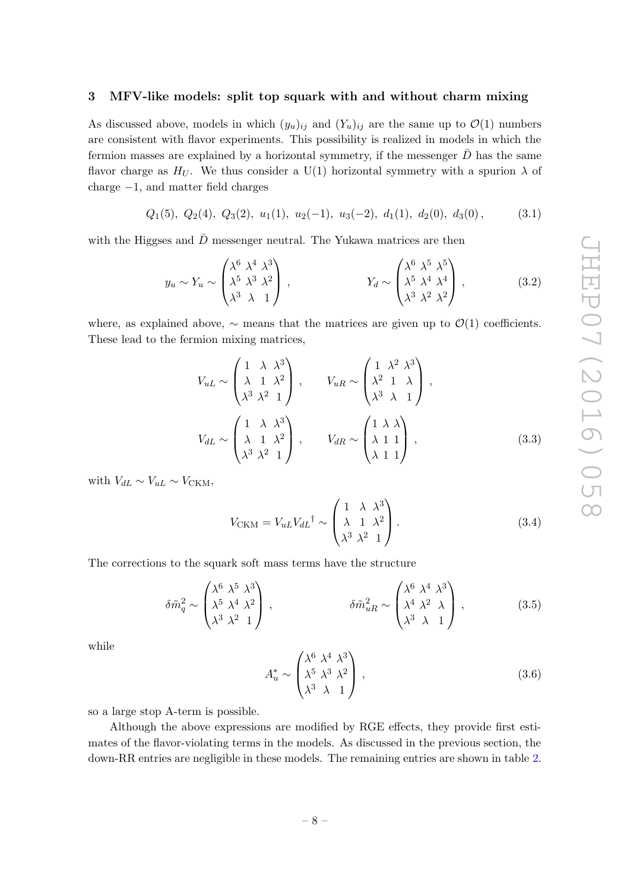#### <span id="page-8-0"></span>3 MFV-like models: split top squark with and without charm mixing

As discussed above, models in which  $(y_u)_{ij}$  and  $(Y_u)_{ij}$  are the same up to  $\mathcal{O}(1)$  numbers are consistent with flavor experiments. This possibility is realized in models in which the fermion masses are explained by a horizontal symmetry, if the messenger  $\bar{D}$  has the same flavor charge as  $H_U$ . We thus consider a U(1) horizontal symmetry with a spurion  $\lambda$  of charge −1, and matter field charges

$$
Q_1(5)
$$
,  $Q_2(4)$ ,  $Q_3(2)$ ,  $u_1(1)$ ,  $u_2(-1)$ ,  $u_3(-2)$ ,  $d_1(1)$ ,  $d_2(0)$ ,  $d_3(0)$ , (3.1)

with the Higgses and  $\bar{D}$  messenger neutral. The Yukawa matrices are then

$$
y_u \sim Y_u \sim \begin{pmatrix} \lambda^6 & \lambda^4 & \lambda^3 \\ \lambda^5 & \lambda^3 & \lambda^2 \\ \lambda^3 & \lambda & 1 \end{pmatrix}, \qquad \qquad Y_d \sim \begin{pmatrix} \lambda^6 & \lambda^5 & \lambda^5 \\ \lambda^5 & \lambda^4 & \lambda^4 \\ \lambda^3 & \lambda^2 & \lambda^2 \end{pmatrix}, \qquad (3.2)
$$

where, as explained above,  $\sim$  means that the matrices are given up to  $\mathcal{O}(1)$  coefficients. These lead to the fermion mixing matrices,

$$
V_{uL} \sim \begin{pmatrix} 1 & \lambda & \lambda^3 \\ \lambda & 1 & \lambda^2 \\ \lambda^3 & \lambda^2 & 1 \end{pmatrix}, \qquad V_{uR} \sim \begin{pmatrix} 1 & \lambda^2 & \lambda^3 \\ \lambda^2 & 1 & \lambda \\ \lambda^3 & \lambda & 1 \end{pmatrix},
$$

$$
V_{dL} \sim \begin{pmatrix} 1 & \lambda & \lambda^3 \\ \lambda & 1 & \lambda^2 \\ \lambda^3 & \lambda^2 & 1 \end{pmatrix}, \qquad V_{dR} \sim \begin{pmatrix} 1 & \lambda & \lambda \\ \lambda & 1 & 1 \\ \lambda & 1 & 1 \end{pmatrix}, \qquad (3.3)
$$

with  $V_{dL} \sim V_{uL} \sim V_{CKM}$ ,

$$
V_{\text{CKM}} = V_{uL} V_{dL}^{\dagger} \sim \begin{pmatrix} 1 & \lambda & \lambda^3 \\ \lambda & 1 & \lambda^2 \\ \lambda^3 & \lambda^2 & 1 \end{pmatrix} . \tag{3.4}
$$

The corrections to the squark soft mass terms have the structure

$$
\delta \tilde{m}_q^2 \sim \begin{pmatrix} \lambda^6 & \lambda^5 & \lambda^3 \\ \lambda^5 & \lambda^4 & \lambda^2 \\ \lambda^3 & \lambda^2 & 1 \end{pmatrix}, \qquad \delta \tilde{m}_{uR}^2 \sim \begin{pmatrix} \lambda^6 & \lambda^4 & \lambda^3 \\ \lambda^4 & \lambda^2 & \lambda \\ \lambda^3 & \lambda & 1 \end{pmatrix}, \qquad (3.5)
$$

while

$$
A_u^* \sim \begin{pmatrix} \lambda^6 & \lambda^4 & \lambda^3 \\ \lambda^5 & \lambda^3 & \lambda^2 \\ \lambda^3 & \lambda & 1 \end{pmatrix},
$$
 (3.6)

so a large stop A-term is possible.

Although the above expressions are modified by RGE effects, they provide first estimates of the flavor-violating terms in the models. As discussed in the previous section, the down-RR entries are negligible in these models. The remaining entries are shown in table [2.](#page-9-0)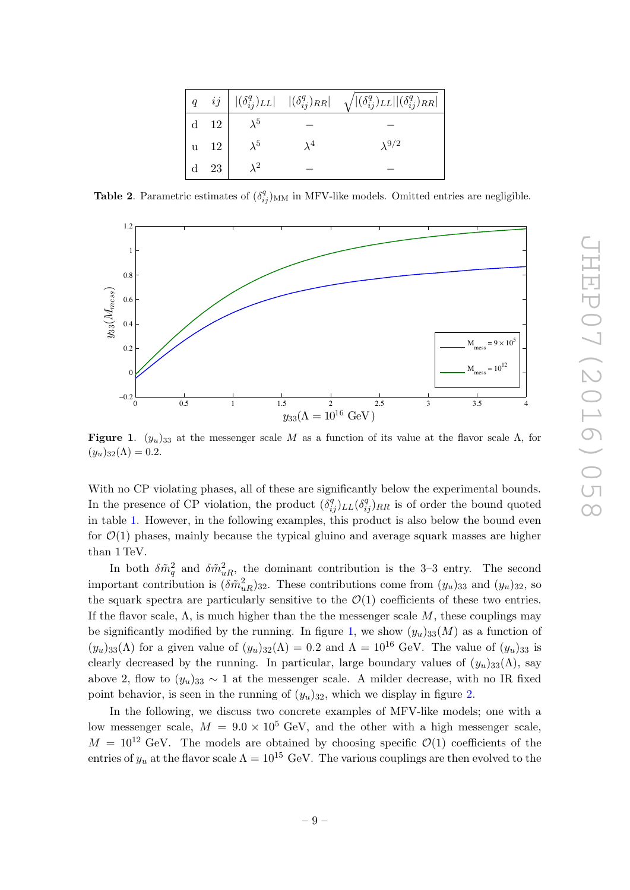|                                        |             |             | $\left  q-ij \right   (\delta_{ij}^q)_{LL}  \quad  (\delta_{ij}^q)_{RR}  \quad \sqrt{ (\delta_{ij}^q)_{LL}   (\delta_{ij}^q)_{RR} }$ |
|----------------------------------------|-------------|-------------|--------------------------------------------------------------------------------------------------------------------------------------|
| $\vert$ d $\vert$ 12 $\vert$           |             |             |                                                                                                                                      |
| $ u \t12$                              | $\lambda^5$ | $\lambda^4$ | $\lambda^{9/2}$                                                                                                                      |
| $\begin{vmatrix} d & 23 \end{vmatrix}$ |             |             |                                                                                                                                      |

<span id="page-9-0"></span>**Table 2.** Parametric estimates of  $(\delta_{ij}^q)_{MM}$  in MFV-like models. Omitted entries are negligible.



<span id="page-9-1"></span>**Figure 1.**  $(y_u)_{33}$  at the messenger scale M as a function of its value at the flavor scale  $\Lambda$ , for  $(y_u)_{32}(\Lambda) = 0.2.$ 

With no CP violating phases, all of these are significantly below the experimental bounds. In the presence of CP violation, the product  $(\delta_{ij}^q)_{LL}(\delta_{ij}^q)_{RR}$  is of order the bound quoted in table [1.](#page-5-0) However, in the following examples, this product is also below the bound even for  $\mathcal{O}(1)$  phases, mainly because the typical gluino and average squark masses are higher than 1 TeV.

In both  $\delta \tilde{m}_q^2$  and  $\delta \tilde{m}_{uR}^2$ , the dominant contribution is the 3–3 entry. The second important contribution is  $(\delta \tilde{m}_{uR}^2)_{32}$ . These contributions come from  $(y_u)_{33}$  and  $(y_u)_{32}$ , so the squark spectra are particularly sensitive to the  $\mathcal{O}(1)$  coefficients of these two entries. If the flavor scale,  $\Lambda$ , is much higher than the the messenger scale  $M$ , these couplings may be significantly modified by the running. In figure [1,](#page-9-1) we show  $(y_u)_{33}(M)$  as a function of  $(y_u)_{33}(\Lambda)$  for a given value of  $(y_u)_{32}(\Lambda) = 0.2$  and  $\Lambda = 10^{16}$  GeV. The value of  $(y_u)_{33}$  is clearly decreased by the running. In particular, large boundary values of  $(y_u)_{33}(\Lambda)$ , say above 2, flow to  $(y_u)_{33} \sim 1$  at the messenger scale. A milder decrease, with no IR fixed point behavior, is seen in the running of  $(y_u)_{32}$ , which we display in figure [2.](#page-10-0)

In the following, we discuss two concrete examples of MFV-like models; one with a low messenger scale,  $M = 9.0 \times 10^5$  GeV, and the other with a high messenger scale,  $M = 10^{12}$  GeV. The models are obtained by choosing specific  $\mathcal{O}(1)$  coefficients of the entries of  $y_u$  at the flavor scale  $\Lambda = 10^{15}$  GeV. The various couplings are then evolved to the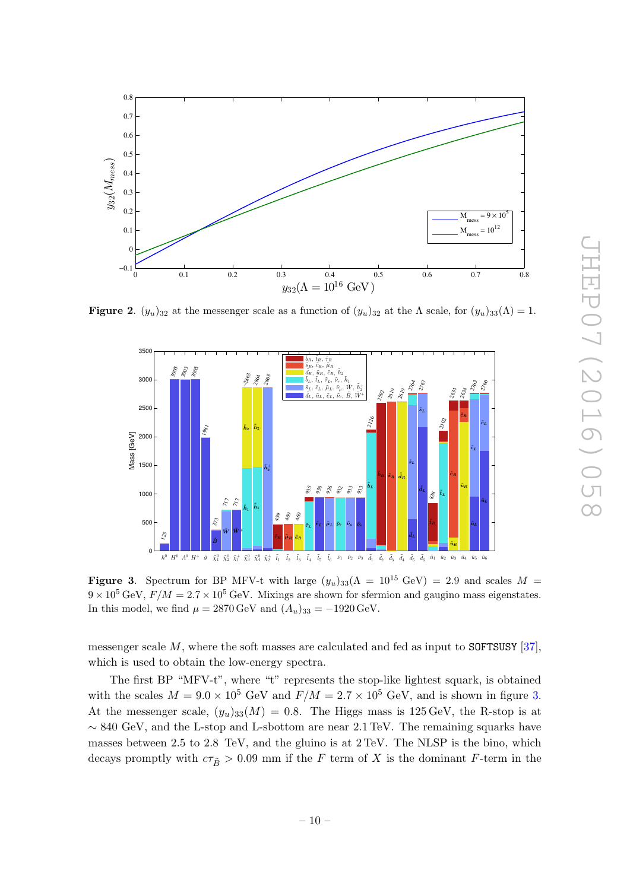

**Figure 2.**  $(y_u)_{32}$  at the messenger scale as a function of  $(y_u)_{32}$  at the  $\Lambda$  scale, for  $(y_u)_{33}(\Lambda) = 1$ .

<span id="page-10-0"></span>

<span id="page-10-1"></span>Figure 3. Spectrum for BP MFV-t with large  $(y_u)_{33}(\Lambda = 10^{15} \text{ GeV}) = 2.9$  and scales  $M =$  $9 \times 10^5$  GeV,  $F/M = 2.7 \times 10^5$  GeV. Mixings are shown for sfermion and gaugino mass eigenstates. In this model, we find  $\mu = 2870 \,\text{GeV}$  and  $(A_u)_{33} = -1920 \,\text{GeV}$ .

messenger scale  $M$ , where the soft masses are calculated and fed as input to SOFTSUSY [\[37\]](#page-28-10), which is used to obtain the low-energy spectra.

The first BP "MFV-t", where "t" represents the stop-like lightest squark, is obtained with the scales  $M = 9.0 \times 10^5$  GeV and  $F/M = 2.7 \times 10^5$  GeV, and is shown in figure [3.](#page-10-1) At the messenger scale,  $(y_u)_{33}(M) = 0.8$ . The Higgs mass is 125 GeV, the R-stop is at  $\sim 840 \text{ GeV}$ , and the L-stop and L-sbottom are near 2.1 TeV. The remaining squarks have masses between 2.5 to 2.8 TeV, and the gluino is at 2 TeV. The NLSP is the bino, which decays promptly with  $c\tau_{\tilde{B}} > 0.09$  mm if the F term of X is the dominant F-term in the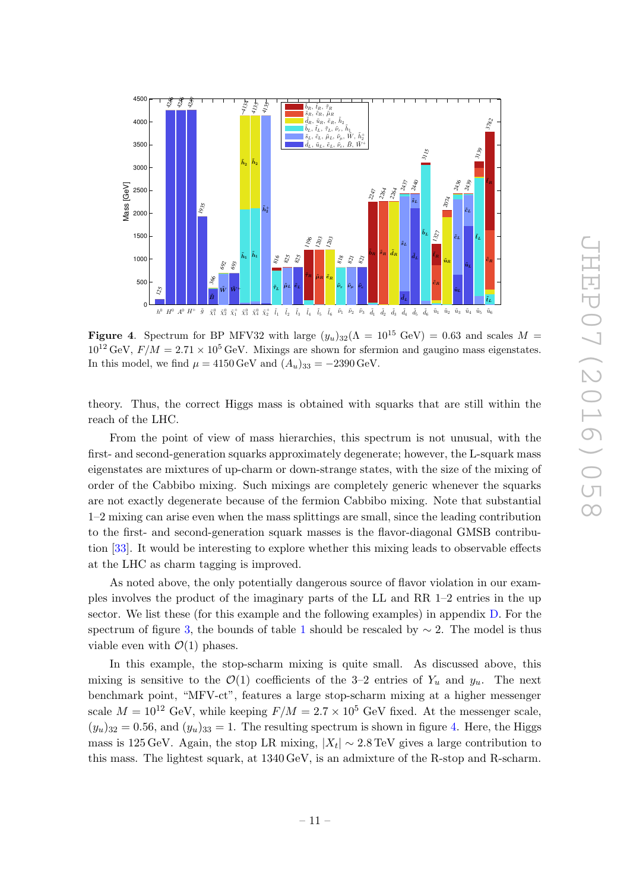

<span id="page-11-0"></span>Figure 4. Spectrum for BP MFV32 with large  $(y_u)_{32}(\Lambda = 10^{15} \text{ GeV}) = 0.63$  and scales  $M =$  $10^{12}$  GeV,  $F/M = 2.71 \times 10^5$  GeV. Mixings are shown for sfermion and gaugino mass eigenstates. In this model, we find  $\mu = 4150 \,\text{GeV}$  and  $(A_u)_{33} = -2390 \,\text{GeV}$ .

theory. Thus, the correct Higgs mass is obtained with squarks that are still within the reach of the LHC.

From the point of view of mass hierarchies, this spectrum is not unusual, with the first- and second-generation squarks approximately degenerate; however, the L-squark mass eigenstates are mixtures of up-charm or down-strange states, with the size of the mixing of order of the Cabbibo mixing. Such mixings are completely generic whenever the squarks are not exactly degenerate because of the fermion Cabbibo mixing. Note that substantial 1–2 mixing can arise even when the mass splittings are small, since the leading contribution to the first- and second-generation squark masses is the flavor-diagonal GMSB contribution [\[33\]](#page-28-6). It would be interesting to explore whether this mixing leads to observable effects at the LHC as charm tagging is improved.

As noted above, the only potentially dangerous source of flavor violation in our examples involves the product of the imaginary parts of the LL and RR 1–2 entries in the up sector. We list these (for this example and the following examples) in appendix [D.](#page-25-1) For the spectrum of figure [3,](#page-10-1) the bounds of table [1](#page-5-0) should be rescaled by  $\sim$  2. The model is thus viable even with  $\mathcal{O}(1)$  phases.

In this example, the stop-scharm mixing is quite small. As discussed above, this mixing is sensitive to the  $\mathcal{O}(1)$  coefficients of the 3-2 entries of  $Y_u$  and  $y_u$ . The next benchmark point, "MFV-ct", features a large stop-scharm mixing at a higher messenger scale  $M = 10^{12}$  GeV, while keeping  $F/M = 2.7 \times 10^5$  GeV fixed. At the messenger scale,  $(y_u)_{32} = 0.56$ , and  $(y_u)_{33} = 1$ . The resulting spectrum is shown in figure [4.](#page-11-0) Here, the Higgs mass is 125 GeV. Again, the stop LR mixing,  $|X_t| \sim 2.8 \,\text{TeV}$  gives a large contribution to this mass. The lightest squark, at 1340 GeV, is an admixture of the R-stop and R-scharm.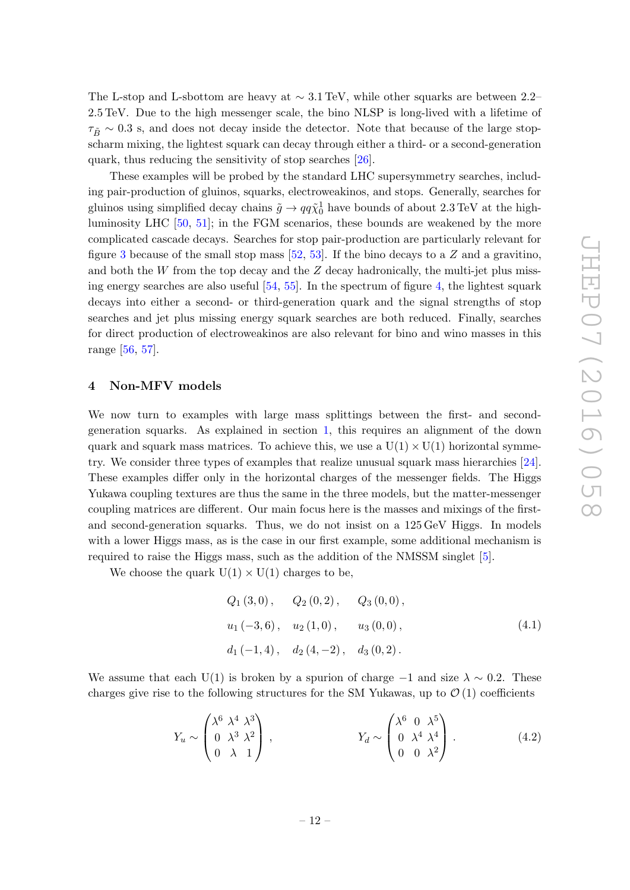The L-stop and L-sbottom are heavy at  $\sim 3.1$  TeV, while other squarks are between 2.2– 2.5 TeV. Due to the high messenger scale, the bino NLSP is long-lived with a lifetime of  $\tau_{\tilde{B}} \sim 0.3$  s, and does not decay inside the detector. Note that because of the large stopscharm mixing, the lightest squark can decay through either a third- or a second-generation quark, thus reducing the sensitivity of stop searches [\[26\]](#page-28-12).

These examples will be probed by the standard LHC supersymmetry searches, including pair-production of gluinos, squarks, electroweakinos, and stops. Generally, searches for gluinos using simplified decay chains  $\tilde{g} \to qq\tilde{\chi}^1_0$  have bounds of about 2.3 TeV at the highluminosity LHC [\[50,](#page-29-6) [51\]](#page-29-7); in the FGM scenarios, these bounds are weakened by the more complicated cascade decays. Searches for stop pair-production are particularly relevant for figure [3](#page-10-1) because of the small stop mass  $[52, 53]$  $[52, 53]$  $[52, 53]$ . If the bino decays to a Z and a gravitino, and both the  $W$  from the top decay and the  $Z$  decay hadronically, the multi-jet plus missing energy searches are also useful [\[54,](#page-29-10) [55\]](#page-29-11). In the spectrum of figure [4,](#page-11-0) the lightest squark decays into either a second- or third-generation quark and the signal strengths of stop searches and jet plus missing energy squark searches are both reduced. Finally, searches for direct production of electroweakinos are also relevant for bino and wino masses in this range [\[56,](#page-29-12) [57\]](#page-29-13).

#### <span id="page-12-0"></span>4 Non-MFV models

We now turn to examples with large mass splittings between the first- and secondgeneration squarks. As explained in section [1,](#page-1-0) this requires an alignment of the down quark and squark mass matrices. To achieve this, we use a  $U(1) \times U(1)$  horizontal symmetry. We consider three types of examples that realize unusual squark mass hierarchies [\[24\]](#page-28-0). These examples differ only in the horizontal charges of the messenger fields. The Higgs Yukawa coupling textures are thus the same in the three models, but the matter-messenger coupling matrices are different. Our main focus here is the masses and mixings of the firstand second-generation squarks. Thus, we do not insist on a 125 GeV Higgs. In models with a lower Higgs mass, as is the case in our first example, some additional mechanism is required to raise the Higgs mass, such as the addition of the NMSSM singlet [\[5\]](#page-27-6).

We choose the quark  $U(1) \times U(1)$  charges to be,

$$
Q_1(3,0), \t Q_2(0,2), \t Q_3(0,0),
$$
  
\n $u_1(-3,6), \t u_2(1,0), \t u_3(0,0),$   
\n $d_1(-1,4), \t d_2(4,-2), \t d_3(0,2).$  (4.1)

We assume that each U(1) is broken by a spurion of charge  $-1$  and size  $\lambda \sim 0.2$ . These charges give rise to the following structures for the SM Yukawas, up to  $\mathcal{O}(1)$  coefficients

$$
Y_u \sim \begin{pmatrix} \lambda^6 & \lambda^4 & \lambda^3 \\ 0 & \lambda^3 & \lambda^2 \\ 0 & \lambda & 1 \end{pmatrix}, \qquad \qquad Y_d \sim \begin{pmatrix} \lambda^6 & 0 & \lambda^5 \\ 0 & \lambda^4 & \lambda^4 \\ 0 & 0 & \lambda^2 \end{pmatrix} . \tag{4.2}
$$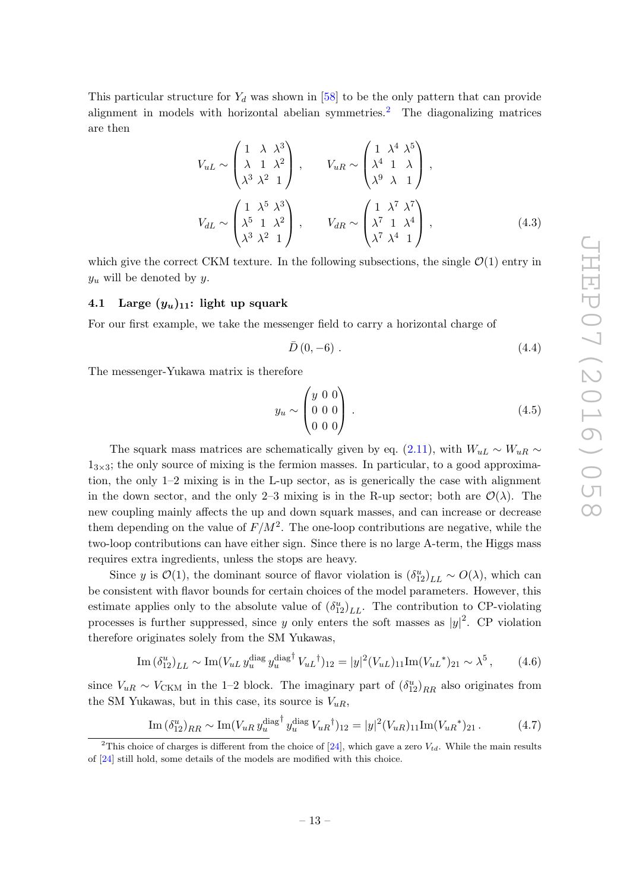This particular structure for  $Y_d$  was shown in [\[58\]](#page-30-0) to be the only pattern that can provide alignment in models with horizontal abelian symmetries.<sup>[2](#page-13-1)</sup> The diagonalizing matrices are then

$$
V_{uL} \sim \begin{pmatrix} 1 & \lambda & \lambda^3 \\ \lambda & 1 & \lambda^2 \\ \lambda^3 & \lambda^2 & 1 \end{pmatrix}, \qquad V_{uR} \sim \begin{pmatrix} 1 & \lambda^4 & \lambda^5 \\ \lambda^4 & 1 & \lambda \\ \lambda^9 & \lambda & 1 \end{pmatrix},
$$

$$
V_{dL} \sim \begin{pmatrix} 1 & \lambda^5 & \lambda^3 \\ \lambda^5 & 1 & \lambda^2 \\ \lambda^3 & \lambda^2 & 1 \end{pmatrix}, \qquad V_{dR} \sim \begin{pmatrix} 1 & \lambda^7 & \lambda^7 \\ \lambda^7 & 1 & \lambda^4 \\ \lambda^7 & \lambda^4 & 1 \end{pmatrix}, \qquad (4.3)
$$

which give the correct CKM texture. In the following subsections, the single  $\mathcal{O}(1)$  entry in  $y_u$  will be denoted by y.

#### <span id="page-13-0"></span>4.1 Large  $(y_u)_{11}$ : light up squark

For our first example, we take the messenger field to carry a horizontal charge of

$$
\bar{D}\left(0,-6\right). \tag{4.4}
$$

The messenger-Yukawa matrix is therefore

$$
y_u \sim \begin{pmatrix} y & 0 & 0 \\ 0 & 0 & 0 \\ 0 & 0 & 0 \end{pmatrix} . \tag{4.5}
$$

The squark mass matrices are schematically given by eq. [\(2.11\)](#page-6-1), with  $W_{uL} \sim W_{uR} \sim$  $1_{3\times3}$ ; the only source of mixing is the fermion masses. In particular, to a good approximation, the only 1–2 mixing is in the L-up sector, as is generically the case with alignment in the down sector, and the only 2–3 mixing is in the R-up sector; both are  $\mathcal{O}(\lambda)$ . The new coupling mainly affects the up and down squark masses, and can increase or decrease them depending on the value of  $F/M^2$ . The one-loop contributions are negative, while the two-loop contributions can have either sign. Since there is no large A-term, the Higgs mass requires extra ingredients, unless the stops are heavy.

Since y is  $\mathcal{O}(1)$ , the dominant source of flavor violation is  $(\delta_{12}^u)_{LL} \sim O(\lambda)$ , which can be consistent with flavor bounds for certain choices of the model parameters. However, this estimate applies only to the absolute value of  $(\delta_{12}^u)_{LL}$ . The contribution to CP-violating processes is further suppressed, since y only enters the soft masses as  $|y|^2$ . CP violation therefore originates solely from the SM Yukawas,

Im 
$$
(\delta_{12}^u)_{LL} \sim \text{Im}(V_{uL} y_u^{\text{diag}} y_u^{\text{diag}^\dagger} V_{uL}^\dagger)_{12} = |y|^2 (V_{uL})_{11} \text{Im}(V_{uL}^*)_{21} \sim \lambda^5
$$
, (4.6)

since  $V_{uR} \sim V_{CKM}$  in the 1–2 block. The imaginary part of  $(\delta_{12}^u)_{RR}$  also originates from the SM Yukawas, but in this case, its source is  $V_{uR}$ ,

$$
\underline{\text{Im}\,(\delta_{12}^u)_{RR} \sim \text{Im}(V_{uR} y_u^{\text{diag}\dagger} y_u^{\text{diag}} V_{uR}^{\dagger})_{12}} = |y|^2 (V_{uR})_{11} \text{Im}(V_{uR}^*)_{21}. \tag{4.7}
$$

<span id="page-13-1"></span><sup>&</sup>lt;sup>2</sup>This choice of charges is different from the choice of [\[24\]](#page-28-0), which gave a zero  $V_{td}$ . While the main results of [\[24\]](#page-28-0) still hold, some details of the models are modified with this choice.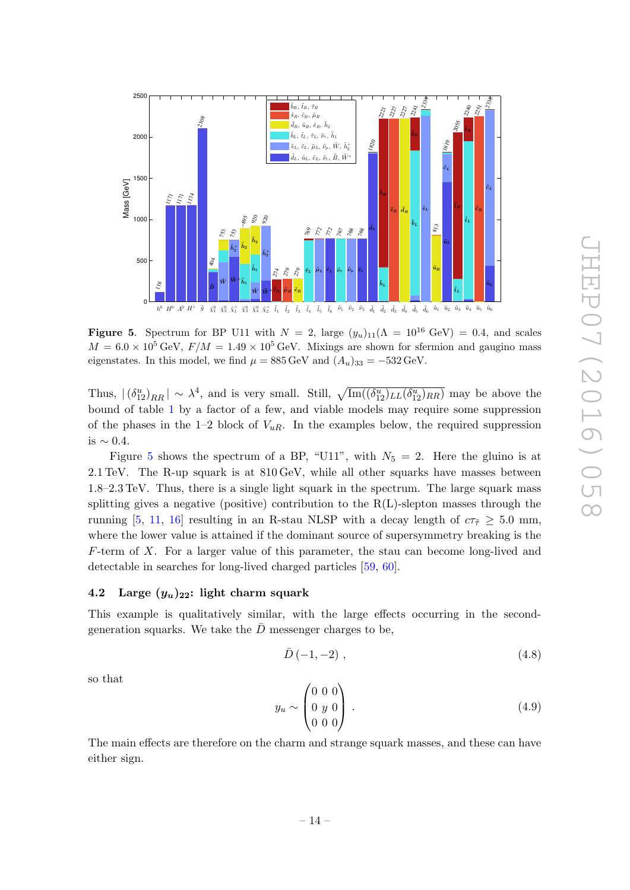

<span id="page-14-1"></span>Figure 5. Spectrum for BP U11 with  $N = 2$ , large  $(y_u)_{11}(\Lambda = 10^{16} \text{ GeV}) = 0.4$ , and scales  $M = 6.0 \times 10^5 \,\text{GeV}, F/M = 1.49 \times 10^5 \,\text{GeV}.$  Mixings are shown for sfermion and gaugino mass eigenstates. In this model, we find  $\mu = 885 \,\text{GeV}$  and  $(A_u)_{33} = -532 \,\text{GeV}$ .

Thus,  $|(\delta_{12}^u)_{RR}| \sim \lambda^4$ , and is very small. Still,  $\sqrt{\text{Im}((\delta_{12}^u)_{LL}(\delta_{12}^u)_{RR})}$  may be above the bound of table [1](#page-5-0) by a factor of a few, and viable models may require some suppression of the phases in the 1–2 block of  $V_{uR}$ . In the examples below, the required suppression is ∼ 0.4.

Figure [5](#page-14-1) shows the spectrum of a BP, "U11", with  $N_5 = 2$ . Here the gluino is at 2.1 TeV. The R-up squark is at 810 GeV, while all other squarks have masses between 1.8–2.3 TeV. Thus, there is a single light squark in the spectrum. The large squark mass splitting gives a negative (positive) contribution to the  $R(L)$ -slepton masses through the running [\[5,](#page-27-6) [11,](#page-27-7) [16\]](#page-27-5) resulting in an R-stau NLSP with a decay length of  $c\tau_{\tilde{\tau}} \geq 5.0$  mm, where the lower value is attained if the dominant source of supersymmetry breaking is the F-term of X. For a larger value of this parameter, the stau can become long-lived and detectable in searches for long-lived charged particles [\[59,](#page-30-1) [60\]](#page-30-2).

#### <span id="page-14-0"></span>4.2 Large  $(y_u)_{22}$ : light charm squark

This example is qualitatively similar, with the large effects occurring in the secondgeneration squarks. We take the  $\bar{D}$  messenger charges to be,

$$
\bar{D}\left(-1,-2\right),\tag{4.8}
$$

so that

$$
y_u \sim \begin{pmatrix} 0 & 0 & 0 \\ 0 & y & 0 \\ 0 & 0 & 0 \end{pmatrix} . \tag{4.9}
$$

The main effects are therefore on the charm and strange squark masses, and these can have either sign.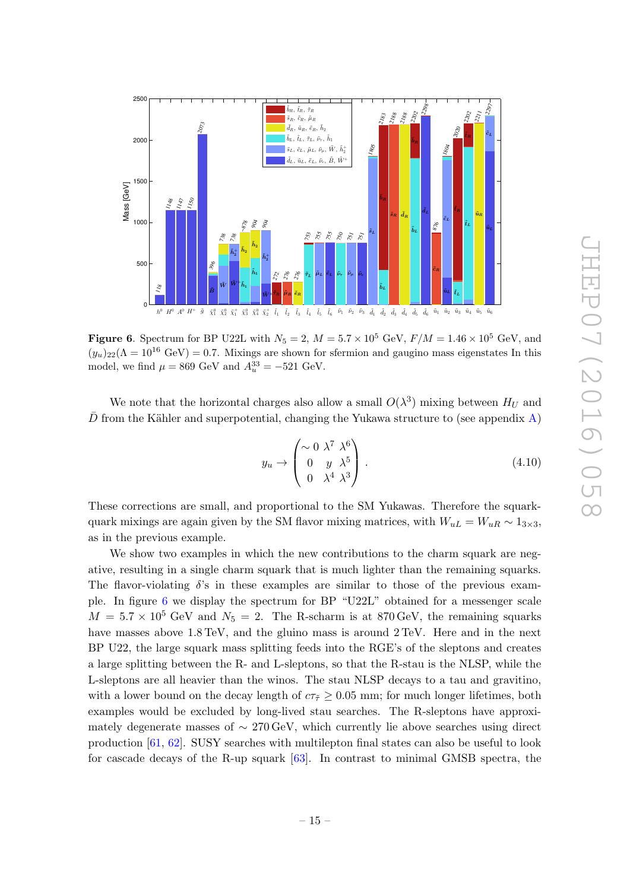

<span id="page-15-0"></span>Figure 6. Spectrum for BP U22L with  $N_5 = 2$ ,  $M = 5.7 \times 10^5$  GeV,  $F/M = 1.46 \times 10^5$  GeV, and  $(y_u)_{22}(\Lambda = 10^{16} \text{ GeV}) = 0.7$ . Mixings are shown for sfermion and gaugino mass eigenstates In this model, we find  $\mu = 869 \text{ GeV}$  and  $A_u^{33} = -521 \text{ GeV}$ .

We note that the horizontal charges also allow a small  $O(\lambda^3)$  mixing between  $H_U$  and  $\bar{D}$  from the Kähler and superpotential, changing the Yukawa structure to (see appendix [A\)](#page-22-0)

$$
y_u \to \begin{pmatrix} \sim 0 & \lambda^7 & \lambda^6 \\ 0 & y & \lambda^5 \\ 0 & \lambda^4 & \lambda^3 \end{pmatrix} . \tag{4.10}
$$

These corrections are small, and proportional to the SM Yukawas. Therefore the squarkquark mixings are again given by the SM flavor mixing matrices, with  $W_{uL} = W_{uR} \sim 1_{3 \times 3}$ , as in the previous example.

We show two examples in which the new contributions to the charm squark are negative, resulting in a single charm squark that is much lighter than the remaining squarks. The flavor-violating  $\delta$ 's in these examples are similar to those of the previous example. In figure [6](#page-15-0) we display the spectrum for BP "U22L" obtained for a messenger scale  $M = 5.7 \times 10^5$  GeV and  $N_5 = 2$ . The R-scharm is at 870 GeV, the remaining squarks have masses above  $1.8 \text{ TeV}$ , and the gluino mass is around  $2 \text{ TeV}$ . Here and in the next BP U22, the large squark mass splitting feeds into the RGE's of the sleptons and creates a large splitting between the R- and L-sleptons, so that the R-stau is the NLSP, while the L-sleptons are all heavier than the winos. The stau NLSP decays to a tau and gravitino, with a lower bound on the decay length of  $c\tau_{\tilde{\tau}} \geq 0.05$  mm; for much longer lifetimes, both examples would be excluded by long-lived stau searches. The R-sleptons have approximately degenerate masses of  $\sim 270 \,\text{GeV}$ , which currently lie above searches using direct production [\[61,](#page-30-3) [62\]](#page-30-4). SUSY searches with multilepton final states can also be useful to look for cascade decays of the R-up squark [\[63\]](#page-30-5). In contrast to minimal GMSB spectra, the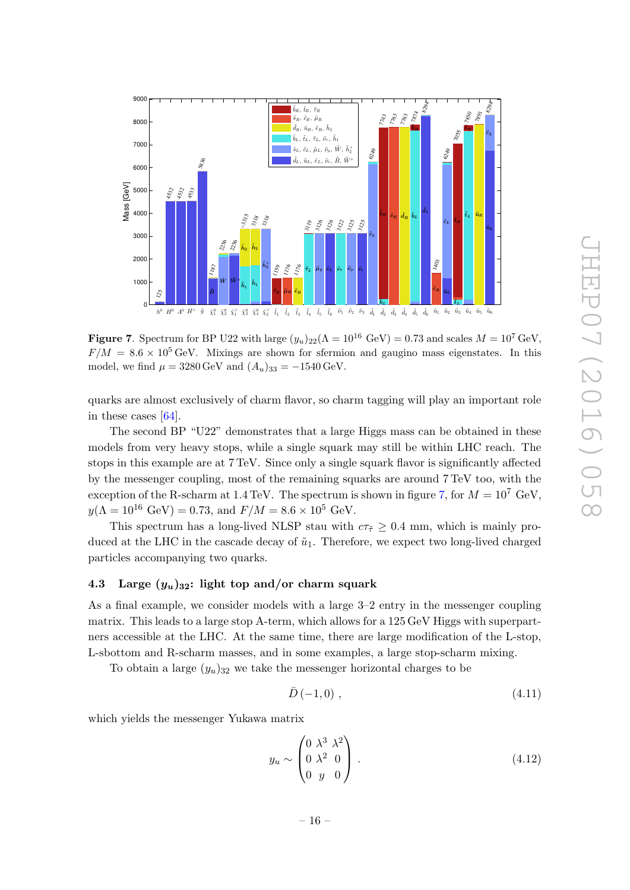

<span id="page-16-1"></span>Figure 7. Spectrum for BP U22 with large  $(y_u)_{22}(\Lambda = 10^{16} \text{ GeV}) = 0.73$  and scales  $M = 10^7 \text{ GeV}$ ,  $F/M = 8.6 \times 10^5$  GeV. Mixings are shown for sfermion and gaugino mass eigenstates. In this model, we find  $\mu = 3280 \,\text{GeV}$  and  $(A_u)_{33} = -1540 \,\text{GeV}$ .

quarks are almost exclusively of charm flavor, so charm tagging will play an important role in these cases [\[64\]](#page-30-6).

The second BP "U22" demonstrates that a large Higgs mass can be obtained in these models from very heavy stops, while a single squark may still be within LHC reach. The stops in this example are at 7 TeV. Since only a single squark flavor is significantly affected by the messenger coupling, most of the remaining squarks are around 7 TeV too, with the exception of the R-scharm at 1.4 TeV. The spectrum is shown in figure [7,](#page-16-1) for  $M = 10^7$  GeV,  $y(\Lambda = 10^{16} \text{ GeV}) = 0.73$ , and  $F/M = 8.6 \times 10^5 \text{ GeV}$ .

This spectrum has a long-lived NLSP stau with  $c\tau_{\tilde{\tau}} \geq 0.4$  mm, which is mainly produced at the LHC in the cascade decay of  $\tilde{u}_1$ . Therefore, we expect two long-lived charged particles accompanying two quarks.

## <span id="page-16-0"></span>4.3 Large  $(y_u)_{32}$ : light top and/or charm squark

As a final example, we consider models with a large 3–2 entry in the messenger coupling matrix. This leads to a large stop A-term, which allows for a 125 GeV Higgs with superpartners accessible at the LHC. At the same time, there are large modification of the L-stop, L-sbottom and R-scharm masses, and in some examples, a large stop-scharm mixing.

To obtain a large  $(y_u)_{32}$  we take the messenger horizontal charges to be

$$
\bar{D}\left(-1,0\right),\tag{4.11}
$$

which yields the messenger Yukawa matrix

$$
y_u \sim \begin{pmatrix} 0 & \lambda^3 & \lambda^2 \\ 0 & \lambda^2 & 0 \\ 0 & y & 0 \end{pmatrix} . \tag{4.12}
$$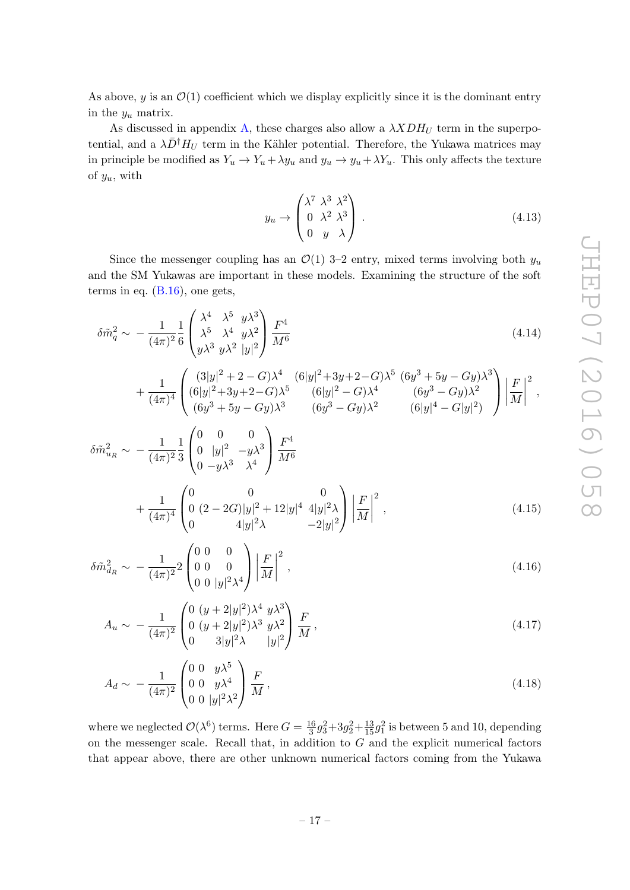As above, y is an  $\mathcal{O}(1)$  coefficient which we display explicitly since it is the dominant entry in the  $y_u$  matrix.

As discussed in appendix [A,](#page-22-0) these charges also allow a  $\lambda XDH_U$  term in the superpotential, and a  $\lambda \bar{D}^{\dagger} H_U$  term in the Kähler potential. Therefore, the Yukawa matrices may in principle be modified as  $Y_u \to Y_u + \lambda y_u$  and  $y_u \to y_u + \lambda Y_u$ . This only affects the texture of  $y_u$ , with

$$
y_u \to \begin{pmatrix} \lambda^7 & \lambda^3 & \lambda^2 \\ 0 & \lambda^2 & \lambda^3 \\ 0 & y & \lambda \end{pmatrix} . \tag{4.13}
$$

Since the messenger coupling has an  $\mathcal{O}(1)$  3–2 entry, mixed terms involving both  $y_u$ and the SM Yukawas are important in these models. Examining the structure of the soft terms in eq.  $(B.16)$ , one gets,

$$
\delta \tilde{m}_q^2 \sim -\frac{1}{(4\pi)^2} \frac{1}{6} \begin{pmatrix} \lambda^4 & \lambda^5 & y\lambda^3\\ \lambda^5 & \lambda^4 & y\lambda^2\\ y\lambda^3 & y\lambda^2 & |y|^2 \end{pmatrix} \frac{F^4}{M^6}
$$
\n(4.14)

$$
+\left.\frac{1}{(4\pi)^4}\begin{pmatrix} (3|y|^2+2-G)\lambda^4 & (6|y|^2+3y+2-G)\lambda^5 & (6y^3+5y-Gy)\lambda^3 \\ (6|y|^2+3y+2-G)\lambda^5 & (6|y|^2-G)\lambda^4 & (6y^3-Gy)\lambda^2 \\ (6y^3+5y-Gy)\lambda^3 & (6y^3-Gy)\lambda^2 & (6|y|^4-G|y|^2) \end{pmatrix}\right|\frac{F}{M}\bigg|^2,
$$

$$
\delta \tilde{m}_{u_R}^2 \sim -\frac{1}{(4\pi)^2} \frac{1}{3} \begin{pmatrix} 0 & 0 & 0 \\ 0 & |y|^2 & -y\lambda^3 \\ 0 & -y\lambda^3 & \lambda^4 \end{pmatrix} \frac{F^4}{M^6} + \frac{1}{(4\pi)^4} \begin{pmatrix} 0 & 0 & 0 \\ 0 & (2 - 2G)|y|^2 + 12|y|^4 & 4|y|^2\lambda \\ 0 & 4|y|^2\lambda & -2|y|^2 \end{pmatrix} \left| \frac{F}{M} \right|^2, \tag{4.15}
$$

$$
\delta \tilde{m}_{d_R}^2 \sim -\frac{1}{(4\pi)^2} 2 \begin{pmatrix} 0 & 0 & 0 \\ 0 & 0 & 0 \\ 0 & 0 & |y|^2 \lambda^4 \end{pmatrix} \left| \frac{F}{M} \right|^2 , \qquad (4.16)
$$

$$
A_u \sim -\frac{1}{(4\pi)^2} \begin{pmatrix} 0 \ (y+2|y|^2) \lambda^4 \ y \lambda^3 \\ 0 \ (y+2|y|^2) \lambda^3 \ y \lambda^2 \\ 0 \ 3|y|^2 \lambda \ |y|^2 \end{pmatrix} \frac{F}{M},\tag{4.17}
$$

$$
A_d \sim -\frac{1}{(4\pi)^2} \begin{pmatrix} 0 & 0 & y\lambda^5 \\ 0 & 0 & y\lambda^4 \\ 0 & 0 & |y|^2 \lambda^2 \end{pmatrix} \frac{F}{M},
$$
\n(4.18)

where we neglected  $\mathcal{O}(\lambda^6)$  terms. Here  $G = \frac{16}{3}$  $\frac{16}{3}g_3^2 + 3g_2^2 + \frac{13}{15}g_1^2$  is between 5 and 10, depending on the messenger scale. Recall that, in addition to  $G$  and the explicit numerical factors that appear above, there are other unknown numerical factors coming from the Yukawa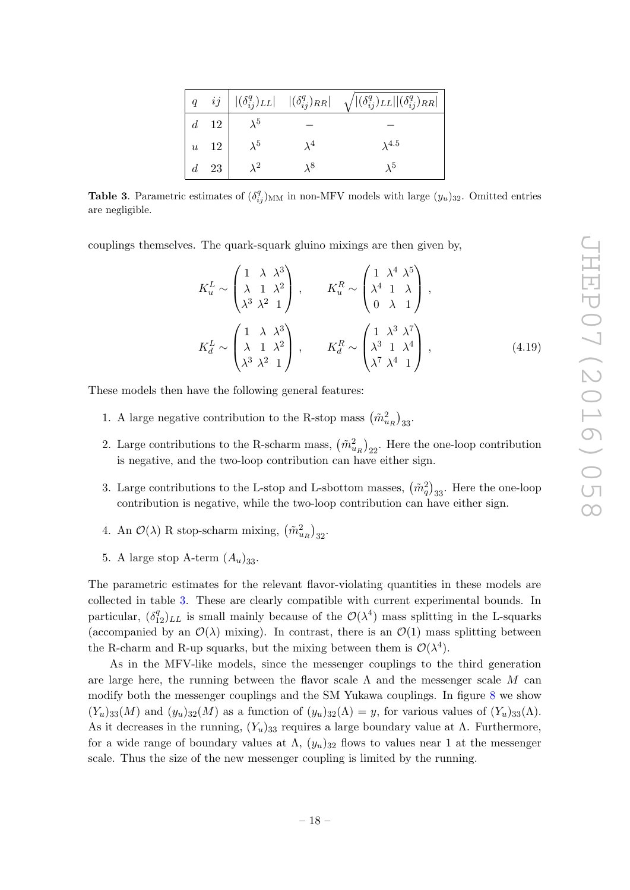|  |                                        |                              |             | $\Big\  \begin{array}{cc} q & ij \end{array} \Big\  \begin{array}{cc}  (\delta_{ij}^q)_{LL}  &  (\delta_{ij}^q)_{RR}  & \sqrt{ (\delta_{ij}^q)_{LL}   (\delta_{ij}^q)_{RR} } \end{array}$ |
|--|----------------------------------------|------------------------------|-------------|-------------------------------------------------------------------------------------------------------------------------------------------------------------------------------------------|
|  |                                        | $d \quad 12 \quad \lambda^5$ |             |                                                                                                                                                                                           |
|  | $\begin{vmatrix} u & 12 \end{vmatrix}$ | $\lambda^5$                  | $\lambda^4$ | $\lambda^{4.5}$                                                                                                                                                                           |
|  |                                        | $d \quad 23 \quad \lambda^2$ | $\lambda^8$ | $\lambda^5$                                                                                                                                                                               |

<span id="page-18-0"></span>**Table 3.** Parametric estimates of  $(\delta_{ij}^q)_{MM}$  in non-MFV models with large  $(y_u)_{32}$ . Omitted entries are negligible.

couplings themselves. The quark-squark gluino mixings are then given by,

$$
K_u^L \sim \begin{pmatrix} 1 & \lambda & \lambda^3 \\ \lambda & 1 & \lambda^2 \\ \lambda^3 & \lambda^2 & 1 \end{pmatrix}, \qquad K_u^R \sim \begin{pmatrix} 1 & \lambda^4 & \lambda^5 \\ \lambda^4 & 1 & \lambda \\ 0 & \lambda & 1 \end{pmatrix},
$$
\n
$$
K_d^L \sim \begin{pmatrix} 1 & \lambda & \lambda^3 \\ \lambda & 1 & \lambda^2 \\ \lambda^3 & \lambda^2 & 1 \end{pmatrix}, \qquad K_d^R \sim \begin{pmatrix} 1 & \lambda^3 & \lambda^7 \\ \lambda^3 & 1 & \lambda^4 \\ \lambda^7 & \lambda^4 & 1 \end{pmatrix}, \tag{4.19}
$$

These models then have the following general features:

- 1. A large negative contribution to the R-stop mass  $(\tilde{m}_{u_R}^2)_{33}$ .
- 2. Large contributions to the R-scharm mass,  $(\tilde{m}_{u_R}^2)_{22}$ . Here the one-loop contribution is negative, and the two-loop contribution can have either sign.
- 3. Large contributions to the L-stop and L-sbottom masses,  $(\tilde{m}_q^2)_{33}$ . Here the one-loop contribution is negative, while the two-loop contribution can have either sign.
- 4. An  $\mathcal{O}(\lambda)$  R stop-scharm mixing,  $(\tilde{m}_{u_R}^2)_{32}$ .
- 5. A large stop A-term  $(A_u)_{33}$ .

The parametric estimates for the relevant flavor-violating quantities in these models are collected in table [3.](#page-18-0) These are clearly compatible with current experimental bounds. In particular,  $(\delta_{12}^q)_{LL}$  is small mainly because of the  $\mathcal{O}(\lambda^4)$  mass splitting in the L-squarks (accompanied by an  $\mathcal{O}(\lambda)$  mixing). In contrast, there is an  $\mathcal{O}(1)$  mass splitting between the R-charm and R-up squarks, but the mixing between them is  $\mathcal{O}(\lambda^4)$ .

As in the MFV-like models, since the messenger couplings to the third generation are large here, the running between the flavor scale  $\Lambda$  and the messenger scale M can modify both the messenger couplings and the SM Yukawa couplings. In figure [8](#page-19-0) we show  $(Y_u)_{33}(M)$  and  $(y_u)_{32}(M)$  as a function of  $(y_u)_{32}(\Lambda) = y$ , for various values of  $(Y_u)_{33}(\Lambda)$ . As it decreases in the running,  $(Y_u)_{33}$  requires a large boundary value at  $\Lambda$ . Furthermore, for a wide range of boundary values at  $\Lambda$ ,  $(y_u)_{32}$  flows to values near 1 at the messenger scale. Thus the size of the new messenger coupling is limited by the running.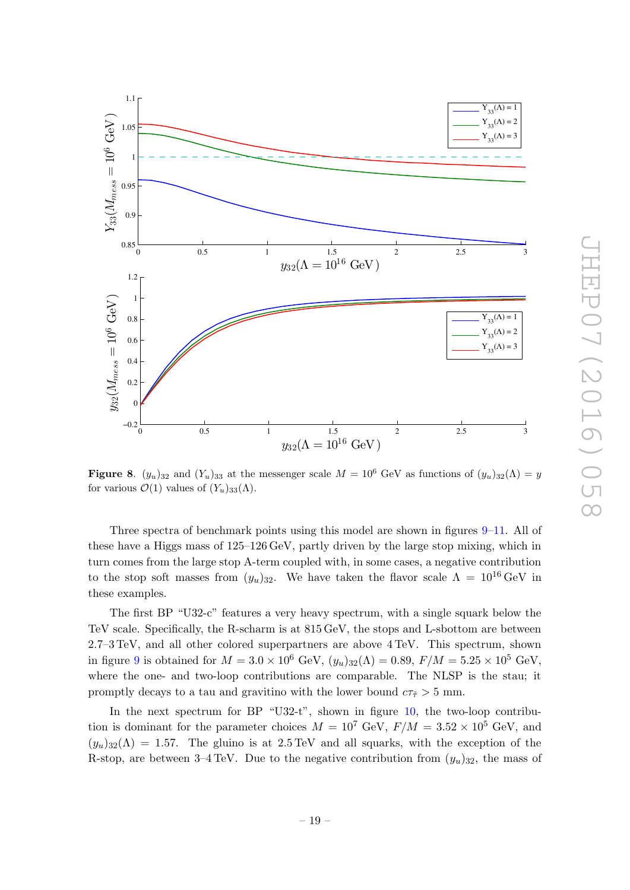

<span id="page-19-0"></span>Figure 8.  $(y_u)_{32}$  and  $(Y_u)_{33}$  at the messenger scale  $M = 10^6$  GeV as functions of  $(y_u)_{32}(\Lambda) = y$ for various  $\mathcal{O}(1)$  values of  $(Y_u)_{33}(\Lambda)$ .

Three spectra of benchmark points using this model are shown in figures [9](#page-20-0)[–11.](#page-21-1) All of these have a Higgs mass of 125–126 GeV, partly driven by the large stop mixing, which in turn comes from the large stop A-term coupled with, in some cases, a negative contribution to the stop soft masses from  $(y_u)_{32}$ . We have taken the flavor scale  $\Lambda = 10^{16} \text{ GeV}$  in these examples.

The first BP "U32-c" features a very heavy spectrum, with a single squark below the TeV scale. Specifically, the R-scharm is at 815 GeV, the stops and L-sbottom are between 2.7–3 TeV, and all other colored superpartners are above 4 TeV. This spectrum, shown in figure [9](#page-20-0) is obtained for  $M = 3.0 \times 10^6$  GeV,  $(y_u)_{32}(\Lambda) = 0.89$ ,  $F/M = 5.25 \times 10^5$  GeV, where the one- and two-loop contributions are comparable. The NLSP is the stau; it promptly decays to a tau and gravitino with the lower bound  $c\tau_{\tilde{\tau}} > 5$  mm.

In the next spectrum for BP "U32-t", shown in figure [10,](#page-20-1) the two-loop contribution is dominant for the parameter choices  $M = 10^7$  GeV,  $F/M = 3.52 \times 10^5$  GeV, and  $(y_u)_{32}(\Lambda) = 1.57$ . The gluino is at 2.5 TeV and all squarks, with the exception of the R-stop, are between 3–4 TeV. Due to the negative contribution from  $(y_u)_{32}$ , the mass of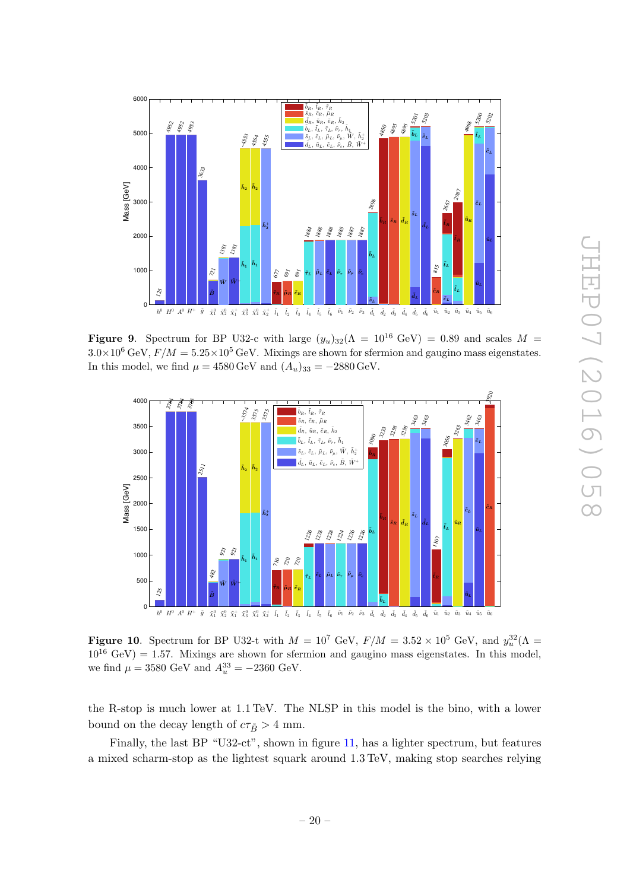

<span id="page-20-0"></span>Figure 9. Spectrum for BP U32-c with large  $(y_u)_{32}(\Lambda = 10^{16} \text{ GeV}) = 0.89$  and scales  $M =$  $3.0\times10^6$  GeV,  $F/M = 5.25\times10^5$  GeV. Mixings are shown for sfermion and gaugino mass eigenstates. In this model, we find  $\mu = 4580 \,\text{GeV}$  and  $(A_u)_{33} = -2880 \,\text{GeV}$ .



<span id="page-20-1"></span>**Figure 10.** Spectrum for BP U32-t with  $M = 10^7$  GeV,  $F/M = 3.52 \times 10^5$  GeV, and  $y_u^{32}(\Lambda =$  $10^{16}$  GeV) = 1.57. Mixings are shown for sfermion and gaugino mass eigenstates. In this model, we find  $\mu = 3580 \text{ GeV}$  and  $A_u^{33} = -2360 \text{ GeV}$ .

the R-stop is much lower at 1.1 TeV. The NLSP in this model is the bino, with a lower bound on the decay length of  $c\tau_{\tilde{B}} > 4$  mm.

Finally, the last BP "U32-ct", shown in figure [11,](#page-21-1) has a lighter spectrum, but features a mixed scharm-stop as the lightest squark around 1.3 TeV, making stop searches relying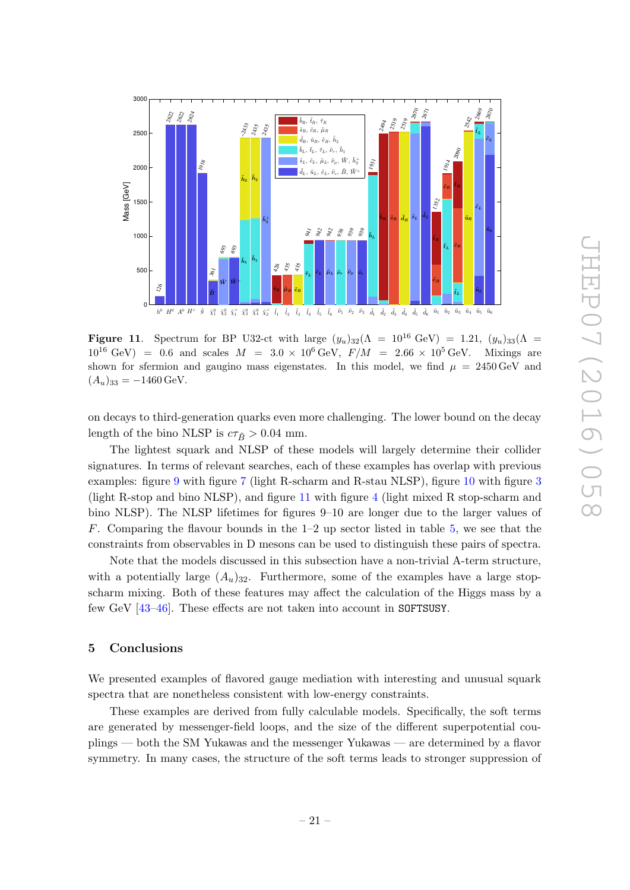

<span id="page-21-1"></span>**Figure 11.** Spectrum for BP U32-ct with large  $(y_u)_{32}(\Lambda = 10^{16} \text{ GeV}) = 1.21, (y_u)_{33}(\Lambda = 10^{16} \text{ GeV})$  $10^{16} \text{ GeV}$  = 0.6 and scales  $M = 3.0 \times 10^{6} \text{ GeV}$ ,  $F/M = 2.66 \times 10^{5} \text{ GeV}$ . Mixings are shown for sfermion and gaugino mass eigenstates. In this model, we find  $\mu = 2450 \,\text{GeV}$  and  $(A_u)_{33} = -1460 \,\text{GeV}.$ 

on decays to third-generation quarks even more challenging. The lower bound on the decay length of the bino NLSP is  $c\tau_{\tilde{B}} > 0.04$  mm.

The lightest squark and NLSP of these models will largely determine their collider signatures. In terms of relevant searches, each of these examples has overlap with previous examples: figure [9](#page-20-0) with figure [7](#page-16-1) (light R-scharm and R-stau NLSP), figure [10](#page-20-1) with figure [3](#page-10-1) (light R-stop and bino NLSP), and figure [11](#page-21-1) with figure [4](#page-11-0) (light mixed R stop-scharm and bino NLSP). The NLSP lifetimes for figures 9–10 are longer due to the larger values of F. Comparing the flavour bounds in the 1–2 up sector listed in table [5,](#page-26-4) we see that the constraints from observables in D mesons can be used to distinguish these pairs of spectra.

Note that the models discussed in this subsection have a non-trivial A-term structure, with a potentially large  $(A_u)_{32}$ . Furthermore, some of the examples have a large stopscharm mixing. Both of these features may affect the calculation of the Higgs mass by a few GeV [\[43–](#page-29-1)[46\]](#page-29-2). These effects are not taken into account in SOFTSUSY.

## <span id="page-21-0"></span>5 Conclusions

We presented examples of flavored gauge mediation with interesting and unusual squark spectra that are nonetheless consistent with low-energy constraints.

These examples are derived from fully calculable models. Specifically, the soft terms are generated by messenger-field loops, and the size of the different superpotential couplings — both the SM Yukawas and the messenger Yukawas — are determined by a flavor symmetry. In many cases, the structure of the soft terms leads to stronger suppression of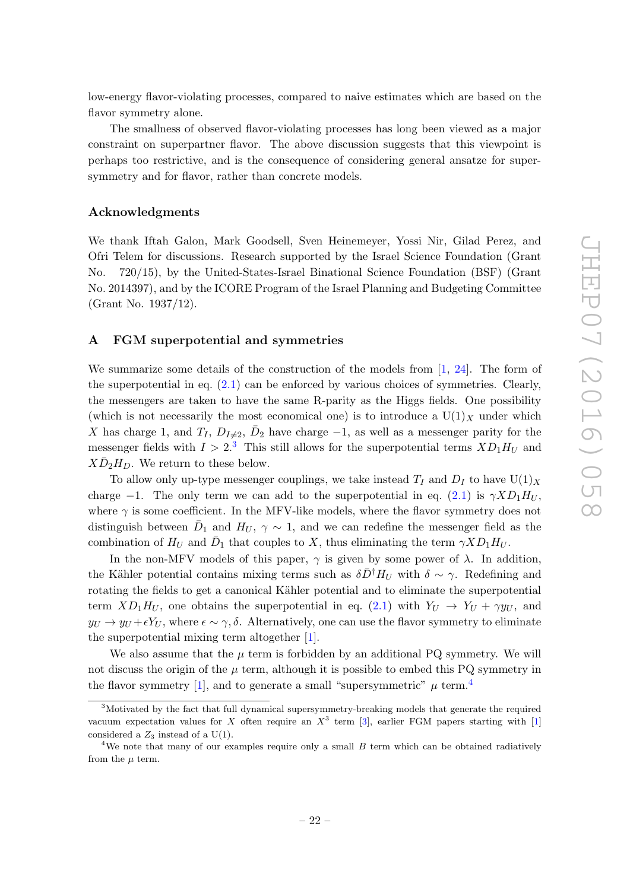low-energy flavor-violating processes, compared to naive estimates which are based on the flavor symmetry alone.

The smallness of observed flavor-violating processes has long been viewed as a major constraint on superpartner flavor. The above discussion suggests that this viewpoint is perhaps too restrictive, and is the consequence of considering general ansatze for supersymmetry and for flavor, rather than concrete models.

## Acknowledgments

We thank Iftah Galon, Mark Goodsell, Sven Heinemeyer, Yossi Nir, Gilad Perez, and Ofri Telem for discussions. Research supported by the Israel Science Foundation (Grant No. 720/15), by the United-States-Israel Binational Science Foundation (BSF) (Grant No. 2014397), and by the ICORE Program of the Israel Planning and Budgeting Committee (Grant No. 1937/12).

## <span id="page-22-0"></span>A FGM superpotential and symmetries

We summarize some details of the construction of the models from  $[1, 24]$  $[1, 24]$  $[1, 24]$ . The form of the superpotential in eq.  $(2.1)$  can be enforced by various choices of symmetries. Clearly, the messengers are taken to have the same R-parity as the Higgs fields. One possibility (which is not necessarily the most economical one) is to introduce a  $U(1)_X$  under which X has charge 1, and  $T_I$ ,  $D_{I\neq 2}$ ,  $\bar{D}_2$  have charge  $-1$ , as well as a messenger parity for the messenger fields with  $I > 2<sup>3</sup>$  $I > 2<sup>3</sup>$  $I > 2<sup>3</sup>$ . This still allows for the superpotential terms  $XD_1H_U$  and  $X\bar{D}_2H_D$ . We return to these below.

To allow only up-type messenger couplings, we take instead  $T_I$  and  $D_I$  to have  $U(1)_X$ charge −1. The only term we can add to the superpotential in eq. [\(2.1\)](#page-4-1) is  $\gamma X D_1 H_U$ , where  $\gamma$  is some coefficient. In the MFV-like models, where the flavor symmetry does not distinguish between  $\bar{D}_1$  and  $H_U$ ,  $\gamma \sim 1$ , and we can redefine the messenger field as the combination of  $H_U$  and  $\bar{D}_1$  that couples to X, thus eliminating the term  $\gamma X D_1 H_U$ .

In the non-MFV models of this paper,  $\gamma$  is given by some power of  $\lambda$ . In addition, the Kähler potential contains mixing terms such as  $\delta \bar{D}^{\dagger}H_U$  with  $\delta \sim \gamma$ . Redefining and rotating the fields to get a canonical Kähler potential and to eliminate the superpotential term  $XD_1H_U$ , one obtains the superpotential in eq. [\(2.1\)](#page-4-1) with  $Y_U \rightarrow Y_U + \gamma y_U$ , and  $y_U \to y_U + \epsilon Y_U$ , where  $\epsilon \sim \gamma$ ,  $\delta$ . Alternatively, one can use the flavor symmetry to eliminate the superpotential mixing term altogether [\[1\]](#page-26-0).

We also assume that the  $\mu$  term is forbidden by an additional PQ symmetry. We will not discuss the origin of the  $\mu$  term, although it is possible to embed this PQ symmetry in the flavor symmetry [\[1\]](#page-26-0), and to generate a small "supersymmetric"  $\mu$  term.<sup>[4](#page-22-2)</sup>

<span id="page-22-1"></span><sup>&</sup>lt;sup>3</sup>Motivated by the fact that full dynamical supersymmetry-breaking models that generate the required vacuum expectation values for X often require an  $X^3$  term [\[3\]](#page-26-2), earlier FGM papers starting with [\[1\]](#page-26-0) considered a  $Z_3$  instead of a U(1).

<span id="page-22-2"></span><sup>&</sup>lt;sup>4</sup>We note that many of our examples require only a small  $B$  term which can be obtained radiatively from the  $\mu$  term.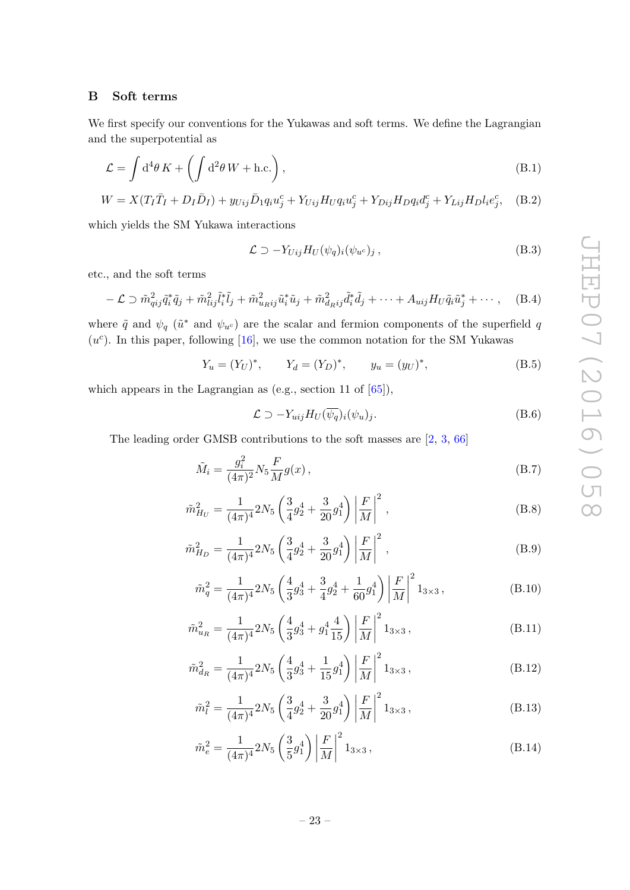#### <span id="page-23-0"></span>B Soft terms

We first specify our conventions for the Yukawas and soft terms. We define the Lagrangian and the superpotential as

$$
\mathcal{L} = \int d^4\theta \, K + \left( \int d^2\theta \, W + \text{h.c.} \right),\tag{B.1}
$$

$$
W = X(T_I \bar{T}_I + D_I \bar{D}_I) + y_{Uij} \bar{D}_1 q_i u_j^c + Y_{Uij} H_U q_i u_j^c + Y_{Dij} H_D q_i d_j^c + Y_{Lij} H_D l_i e_j^c, \quad (B.2)
$$

which yields the SM Yukawa interactions

$$
\mathcal{L} \supset -Y_{Uij}H_U(\psi_q)_i(\psi_{u^c})_j, \qquad (B.3)
$$

etc., and the soft terms

$$
-\mathcal{L} \supset \tilde{m}_{qij}^2 \tilde{q}_i^* \tilde{q}_j + \tilde{m}_{lij}^2 \tilde{l}_i^* \tilde{l}_j + \tilde{m}_{u_R ij}^2 \tilde{u}_i^* \tilde{u}_j + \tilde{m}_{d_R ij}^2 \tilde{d}_i^* \tilde{d}_j + \cdots + A_{uij} H_U \tilde{q}_i \tilde{u}_j^* + \cdots, \quad (B.4)
$$

where  $\tilde{q}$  and  $\psi_q$  ( $\tilde{u}^*$  and  $\psi_{u^c}$ ) are the scalar and fermion components of the superfield q  $(u<sup>c</sup>)$ . In this paper, following [\[16\]](#page-27-5), we use the common notation for the SM Yukawas

$$
Y_u = (Y_U)^*, \t Y_d = (Y_D)^*, \t y_u = (y_U)^*,
$$
 (B.5)

which appears in the Lagrangian as (e.g., section 11 of  $[65]$ ),

$$
\mathcal{L} \supset -Y_{uij}H_U(\overline{\psi_q})_i(\psi_u)_j. \tag{B.6}
$$

The leading order GMSB contributions to the soft masses are [\[2,](#page-26-1) [3,](#page-26-2) [66\]](#page-30-8)

$$
\tilde{M}_i = \frac{g_i^2}{(4\pi)^2} N_5 \frac{F}{M} g(x) , \qquad (B.7)
$$

$$
\tilde{m}_{H_U}^2 = \frac{1}{(4\pi)^4} 2N_5 \left( \frac{3}{4} g_2^4 + \frac{3}{20} g_1^4 \right) \left| \frac{F}{M} \right|^2 ,\tag{B.8}
$$

$$
\tilde{m}_{HD}^2 = \frac{1}{(4\pi)^4} 2N_5 \left( \frac{3}{4} g_2^4 + \frac{3}{20} g_1^4 \right) \left| \frac{F}{M} \right|^2 ,\tag{B.9}
$$

$$
\tilde{m}_q^2 = \frac{1}{(4\pi)^4} 2N_5 \left( \frac{4}{3} g_3^4 + \frac{3}{4} g_2^4 + \frac{1}{60} g_1^4 \right) \left| \frac{F}{M} \right|^2 1_{3 \times 3},\tag{B.10}
$$

$$
\tilde{m}_{u_R}^2 = \frac{1}{(4\pi)^4} 2N_5 \left( \frac{4}{3} g_3^4 + g_1^4 \frac{4}{15} \right) \left| \frac{F}{M} \right|^2 1_{3 \times 3},\tag{B.11}
$$

$$
\tilde{m}_{d_R}^2 = \frac{1}{(4\pi)^4} 2N_5 \left( \frac{4}{3} g_3^4 + \frac{1}{15} g_1^4 \right) \left| \frac{F}{M} \right|^2 1_{3 \times 3},\tag{B.12}
$$

$$
\tilde{m}_l^2 = \frac{1}{(4\pi)^4} 2N_5 \left( \frac{3}{4} g_2^4 + \frac{3}{20} g_1^4 \right) \left| \frac{F}{M} \right|^2 1_{3 \times 3},\tag{B.13}
$$

$$
\tilde{m}_e^2 = \frac{1}{(4\pi)^4} 2N_5 \left(\frac{3}{5}g_1^4\right) \left|\frac{F}{M}\right|^2 1_{3\times 3},\tag{B.14}
$$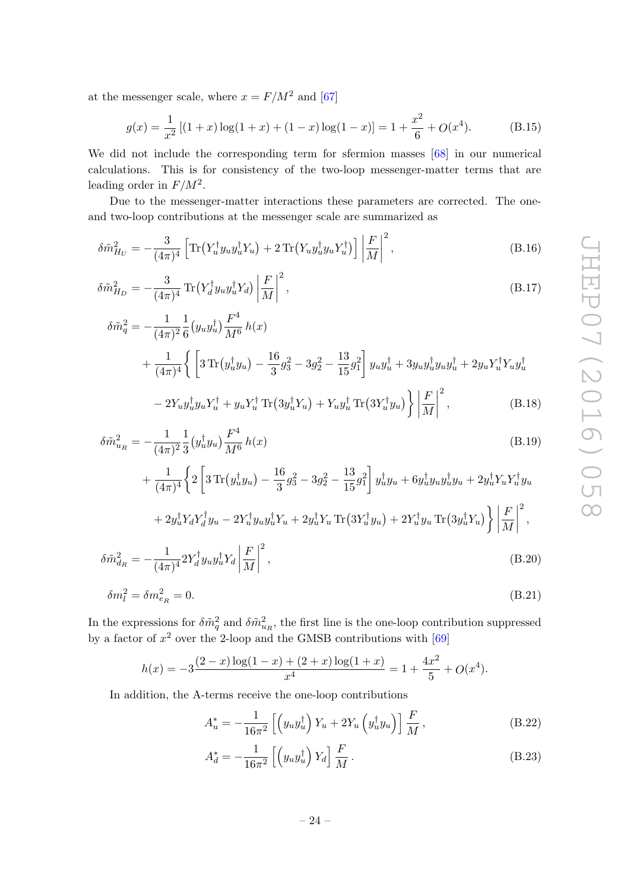at the messenger scale, where  $x = F/M^2$  and [\[67\]](#page-30-9)

<span id="page-24-0"></span>
$$
g(x) = \frac{1}{x^2} \left[ (1+x) \log(1+x) + (1-x) \log(1-x) \right] = 1 + \frac{x^2}{6} + O(x^4). \tag{B.15}
$$

We did not include the corresponding term for sfermion masses  $[68]$  in our numerical calculations. This is for consistency of the two-loop messenger-matter terms that are leading order in  $F/M^2$ .

Due to the messenger-matter interactions these parameters are corrected. The oneand two-loop contributions at the messenger scale are summarized as

$$
\delta \tilde{m}_{H_U}^2 = -\frac{3}{(4\pi)^4} \left[ \text{Tr} \left( Y_u^\dagger y_u y_u^\dagger Y_u \right) + 2 \, \text{Tr} \left( Y_u y_u^\dagger y_u Y_u^\dagger \right) \right] \left| \frac{F}{M} \right|^2, \tag{B.16}
$$

$$
\delta \tilde{m}_{H_D}^2 = -\frac{3}{(4\pi)^4} \operatorname{Tr} \left( Y_d^{\dagger} y_u y_u^{\dagger} Y_d \right) \left| \frac{F}{M} \right|^2, \tag{B.17}
$$

$$
\delta \tilde{m}_q^2 = -\frac{1}{(4\pi)^2} \frac{1}{6} (y_u y_u^\dagger) \frac{F^4}{M^6} h(x) \n+ \frac{1}{(4\pi)^4} \left\{ \left[ 3 \operatorname{Tr} (y_u^\dagger y_u) - \frac{16}{3} g_3^2 - 3g_2^2 - \frac{13}{15} g_1^2 \right] y_u y_u^\dagger + 3 y_u y_u^\dagger y_u y_u^\dagger + 2 y_u Y_u^\dagger Y_u y_u^\dagger \n- 2 Y_u y_u^\dagger y_u Y_u^\dagger + y_u Y_u^\dagger \operatorname{Tr} (3 y_u^\dagger Y_u) + Y_u y_u^\dagger \operatorname{Tr} (3 Y_u^\dagger y_u) \right\} \left| \frac{F}{M} \right|^2, \tag{B.18}
$$

$$
\delta \tilde{m}_{u_R}^2 = -\frac{1}{(4\pi)^2} \frac{1}{3} \left( y_u^{\dagger} y_u \right) \frac{F^4}{M^6} h(x) \tag{B.19}
$$

$$
+\frac{1}{(4\pi)^4} \left\{ 2 \left[ 3 \operatorname{Tr} (y_u^{\dagger} y_u) - \frac{16}{3} g_3^2 - 3 g_2^2 - \frac{13}{15} g_1^2 \right] y_u^{\dagger} y_u + 6 y_u^{\dagger} y_u y_u^{\dagger} y_u + 2 y_u^{\dagger} Y_u Y_u^{\dagger} y_u \right. \\
\left. + 2 y_u^{\dagger} Y_d Y_d^{\dagger} y_u - 2 Y_u^{\dagger} y_u y_u^{\dagger} Y_u + 2 y_u^{\dagger} Y_u \operatorname{Tr} (3 Y_u^{\dagger} y_u) + 2 Y_u^{\dagger} y_u \operatorname{Tr} (3 y_u^{\dagger} Y_u) \right\} \left| \frac{F}{M} \right|^2,
$$
\n
$$
\delta \tilde{m}_{d_R}^2 = -\frac{1}{(4\pi)^4} 2 Y_d^{\dagger} y_u y_u^{\dagger} Y_d \left| \frac{F}{M} \right|^2, \tag{B.20}
$$

$$
m_{d_R} = -\frac{1}{(4\pi)^4} 2I_d y_u y_u I_d \left| \overline{M} \right| , \qquad (D.20)
$$

$$
\delta m_l^2 = \delta m_{e_R}^2 = 0. \tag{B.21}
$$

In the expressions for  $\delta \tilde{m}_q^2$  and  $\delta \tilde{m}_{u_R}^2$ , the first line is the one-loop contribution suppressed by a factor of  $x^2$  over the 2-loop and the GMSB contributions with [\[69\]](#page-30-11)

$$
h(x) = -3\frac{(2-x)\log(1-x) + (2+x)\log(1+x)}{x^4} = 1 + \frac{4x^2}{5} + O(x^4).
$$

In addition, the A-terms receive the one-loop contributions

$$
A_u^* = -\frac{1}{16\pi^2} \left[ \left( y_u y_u^\dagger \right) Y_u + 2Y_u \left( y_u^\dagger y_u \right) \right] \frac{F}{M}, \tag{B.22}
$$

$$
A_d^* = -\frac{1}{16\pi^2} \left[ \left( y_u y_u^\dagger \right) Y_d \right] \frac{F}{M} \,. \tag{B.23}
$$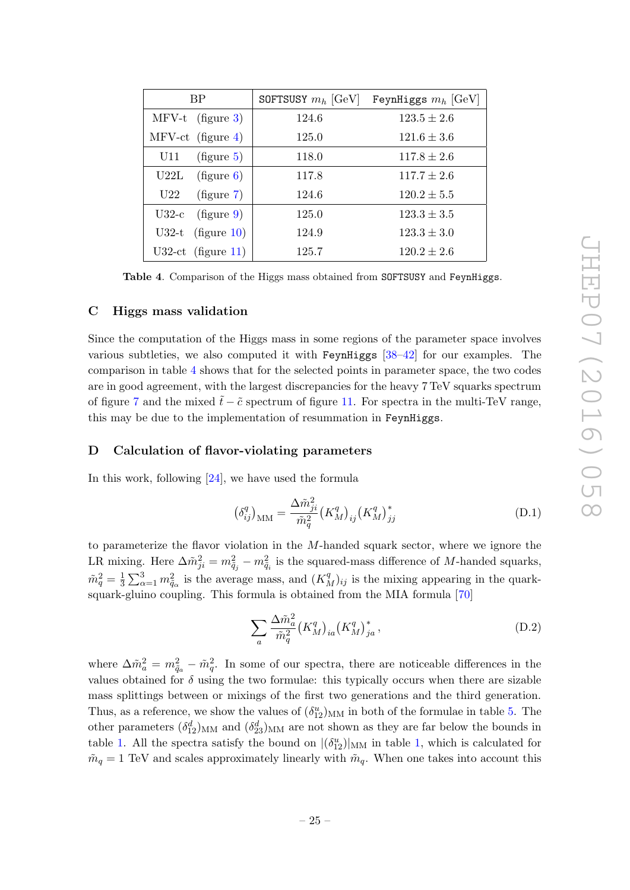| BP                    | SOFTSUSY $m_h$ [GeV] | FeynHiggs $m_h$ [GeV] |  |
|-----------------------|----------------------|-----------------------|--|
| $MFV-t$ (figure 3)    | 124.6                | $123.5 \pm 2.6$       |  |
| $MFV-ct$ (figure 4)   | 125.0                | $121.6 \pm 3.6$       |  |
| (figure 5)<br>U11     | 118.0                | $117.8 \pm 2.6$       |  |
| U22L<br>(figure 6)    | 117.8                | $117.7 \pm 2.6$       |  |
| (figure 7)<br>U22     | 124.6                | $120.2 \pm 5.5$       |  |
| (figure 9)<br>$U32-c$ | 125.0                | $123.3 \pm 3.5$       |  |
| U32-t $(figure 10)$   | 124.9                | $123.3 \pm 3.0$       |  |
| $U32-ct$ (figure 11)  | 125.7                | $120.2 \pm 2.6$       |  |

<span id="page-25-2"></span>Table 4. Comparison of the Higgs mass obtained from SOFTSUSY and FeynHiggs.

#### <span id="page-25-0"></span>C Higgs mass validation

Since the computation of the Higgs mass in some regions of the parameter space involves various subtleties, we also computed it with FeynHiggs  $[38-42]$  $[38-42]$  for our examples. The comparison in table [4](#page-25-2) shows that for the selected points in parameter space, the two codes are in good agreement, with the largest discrepancies for the heavy 7 TeV squarks spectrum of figure [7](#page-16-1) and the mixed  $\tilde{t}$  −  $\tilde{c}$  spectrum of figure [11.](#page-21-1) For spectra in the multi-TeV range, this may be due to the implementation of resummation in FeynHiggs.

#### <span id="page-25-1"></span>D Calculation of flavor-violating parameters

In this work, following [\[24\]](#page-28-0), we have used the formula

<span id="page-25-3"></span>
$$
\left(\delta_{ij}^q\right)_{\rm MM} = \frac{\Delta \tilde{m}_{ji}^2}{\tilde{m}_q^2} \left(K_M^q\right)_{ij} \left(K_M^q\right)_{jj}^* \tag{D.1}
$$

to parameterize the flavor violation in the  $M$ -handed squark sector, where we ignore the LR mixing. Here  $\Delta \tilde{m}_{ji}^2 = m_{\tilde{q}_j}^2 - m_{\tilde{q}_i}^2$  is the squared-mass difference of M-handed squarks,  $\tilde{m}_q^2=\frac{1}{3}$  $\frac{1}{3}\sum_{\alpha=1}^{3}m_{\tilde{q}_{\alpha}}^{2}$  is the average mass, and  $(K_{M}^{q})_{ij}$  is the mixing appearing in the quarksquark-gluino coupling. This formula is obtained from the MIA formula [\[70\]](#page-30-12)

<span id="page-25-4"></span>
$$
\sum_{a} \frac{\Delta \tilde{m}_a^2}{\tilde{m}_q^2} \left( K_M^q \right)_{ia} \left( K_M^q \right)_{ja}^*,\tag{D.2}
$$

where  $\Delta \tilde{m}_a^2 = m_{\tilde{q}_a}^2 - \tilde{m}_q^2$ . In some of our spectra, there are noticeable differences in the values obtained for  $\delta$  using the two formulae: this typically occurs when there are sizable mass splittings between or mixings of the first two generations and the third generation. Thus, as a reference, we show the values of  $(\delta_{12}^u)_{MM}$  in both of the formulae in table [5.](#page-26-4) The other parameters  $(\delta_{12}^d)_{MM}$  and  $(\delta_{23}^d)_{MM}$  are not shown as they are far below the bounds in table [1.](#page-5-0) All the spectra satisfy the bound on  $|(\delta_{12}^u)|_{MM}$  in table [1,](#page-5-0) which is calculated for  $\tilde{m}_q = 1$  TeV and scales approximately linearly with  $\tilde{m}_q$ . When one takes into account this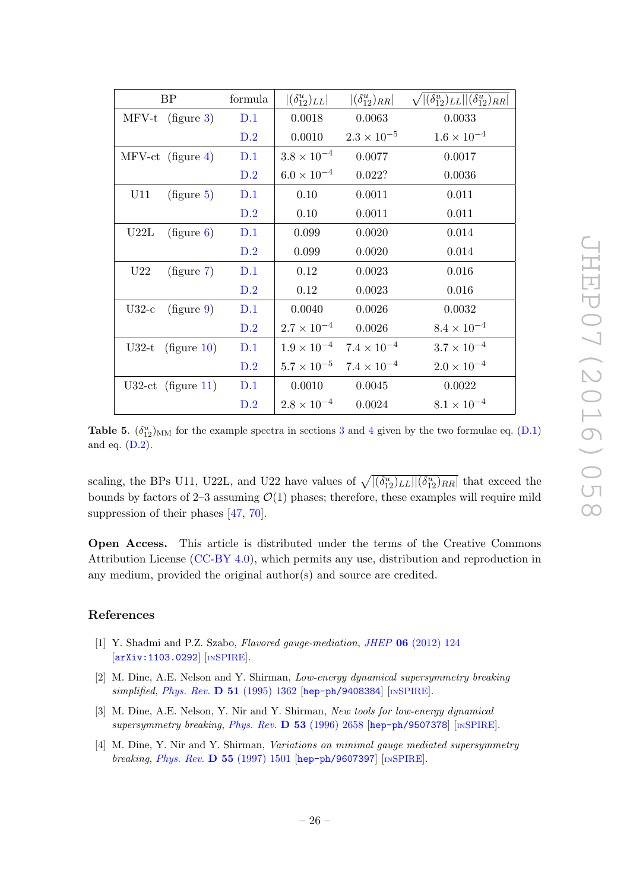| BP                    | formula | $ (\delta_{12}^u)_{LL} $ | $ (\delta_{12}^u)_{RR} $ | $\sqrt{\left (\delta_{12}^u)_{LL}\right  \left (\delta_{12}^u)_{RR}\right }$ |
|-----------------------|---------|--------------------------|--------------------------|------------------------------------------------------------------------------|
| $MFV-t$ (figure 3)    | D.1     | 0.0018                   | 0.0063                   | 0.0033                                                                       |
|                       | D.2     | 0.0010                   | $2.3 \times 10^{-5}$     | $1.6 \times 10^{-4}$                                                         |
| $MFV-ct$ (figure 4)   | D.1     | $3.8 \times 10^{-4}$     | 0.0077                   | 0.0017                                                                       |
|                       | D.2     | $6.0 \times 10^{-4}$     | 0.022?                   | 0.0036                                                                       |
| U11<br>(figure 5)     | D.1     | 0.10                     | 0.0011                   | 0.011                                                                        |
|                       | D.2     | 0.10                     | 0.0011                   | 0.011                                                                        |
| (figure 6)<br>U22L    | D.1     | 0.099                    | 0.0020                   | 0.014                                                                        |
|                       | D.2     | 0.099                    | 0.0020                   | 0.014                                                                        |
| (figure 7)<br>U22     | D.1     | 0.12                     | 0.0023                   | 0.016                                                                        |
|                       | D.2     | 0.12                     | 0.0023                   | 0.016                                                                        |
| (figure 9)<br>$U32-c$ | D.1     | 0.0040                   | 0.0026                   | 0.0032                                                                       |
|                       | D.2     | $2.7 \times 10^{-4}$     | 0.0026                   | $8.4 \times 10^{-4}$                                                         |
| U32-t $(figure 10)$   | D.1     | $1.9 \times 10^{-4}$     | $7.4 \times 10^{-4}$     | $3.7 \times 10^{-4}$                                                         |
|                       | D.2     | $5.7 \times 10^{-5}$     | $7.4 \times 10^{-4}$     | $2.0 \times 10^{-4}$                                                         |
| U32-ct $(figure 11)$  | D.1     | 0.0010                   | 0.0045                   | 0.0022                                                                       |
|                       | D.2     | $2.8 \times 10^{-4}$     | 0.0024                   | $8.1 \times 10^{-4}$                                                         |

<span id="page-26-4"></span>**Table 5.**  $(\delta_{12}^u)_{MM}$  for the example spectra in sections [3](#page-8-0) and [4](#page-12-0) given by the two formulae eq. [\(D.1\)](#page-25-3) and eq. [\(D.2\)](#page-25-4).

scaling, the BPs U11, U22L, and U22 have values of  $\sqrt{((\delta_{12}^u)_{LL}||(\delta_{12}^u)_{RR}}]$  that exceed the bounds by factors of 2–3 assuming  $\mathcal{O}(1)$  phases; therefore, these examples will require mild suppression of their phases [\[47,](#page-29-3) [70\]](#page-30-12).

Open Access. This article is distributed under the terms of the Creative Commons Attribution License [\(CC-BY 4.0\)](http://creativecommons.org/licenses/by/4.0/), which permits any use, distribution and reproduction in any medium, provided the original author(s) and source are credited.

## References

- <span id="page-26-0"></span>[1] Y. Shadmi and P.Z. Szabo, Flavored gauge-mediation, JHEP 06 [\(2012\) 124](http://dx.doi.org/10.1007/JHEP06(2012)124) [[arXiv:1103.0292](http://arxiv.org/abs/1103.0292)] [IN[SPIRE](http://inspirehep.net/search?p=find+EPRINT+arXiv:1103.0292)].
- <span id="page-26-1"></span>[2] M. Dine, A.E. Nelson and Y. Shirman, Low-energy dynamical supersymmetry breaking simplified, Phys. Rev.  $\bf{D}$  51 [\(1995\) 1362](http://dx.doi.org/10.1103/PhysRevD.51.1362) [[hep-ph/9408384](http://arxiv.org/abs/hep-ph/9408384)] [IN[SPIRE](http://inspirehep.net/search?p=find+EPRINT+hep-ph/9408384)].
- <span id="page-26-2"></span>[3] M. Dine, A.E. Nelson, Y. Nir and Y. Shirman, New tools for low-energy dynamical supersymmetry breaking, Phys. Rev. D 53 [\(1996\) 2658](http://dx.doi.org/10.1103/PhysRevD.53.2658) [[hep-ph/9507378](http://arxiv.org/abs/hep-ph/9507378)] [IN[SPIRE](http://inspirehep.net/search?p=find+EPRINT+hep-ph/9507378)].
- <span id="page-26-3"></span>[4] M. Dine, Y. Nir and Y. Shirman, Variations on minimal gauge mediated supersymmetry breaking, *Phys. Rev.* **D 55** [\(1997\) 1501](http://dx.doi.org/10.1103/PhysRevD.55.1501) [[hep-ph/9607397](http://arxiv.org/abs/hep-ph/9607397)] [IN[SPIRE](http://inspirehep.net/search?p=find+EPRINT+hep-ph/9607397)].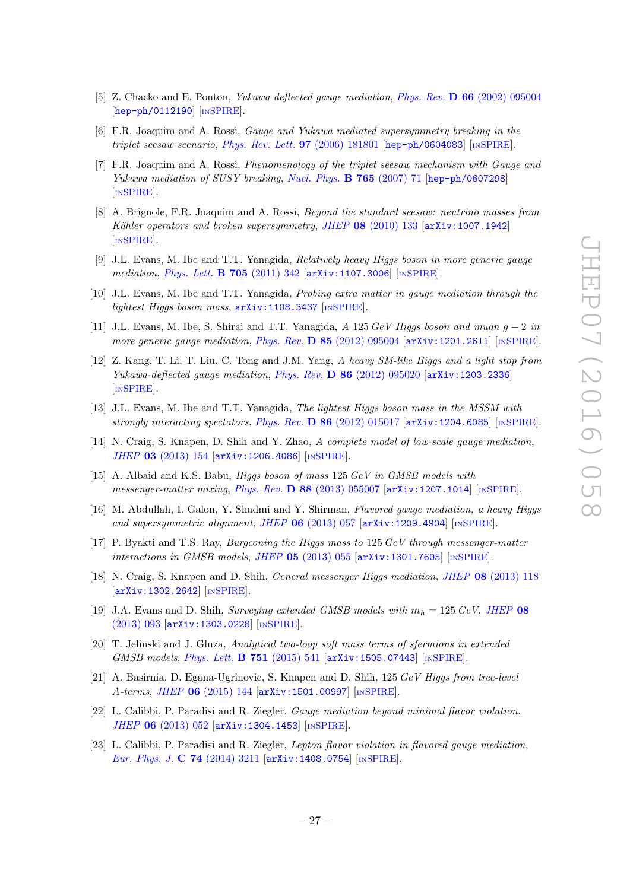- <span id="page-27-6"></span>[5] Z. Chacko and E. Ponton, *Yukawa deflected gauge mediation, Phys. Rev.* **D 66** [\(2002\) 095004](http://dx.doi.org/10.1103/PhysRevD.66.095004) [[hep-ph/0112190](http://arxiv.org/abs/hep-ph/0112190)] [IN[SPIRE](http://inspirehep.net/search?p=find+EPRINT+hep-ph/0112190)].
- [6] F.R. Joaquim and A. Rossi, Gauge and Yukawa mediated supersymmetry breaking in the triplet seesaw scenario, [Phys. Rev. Lett.](http://dx.doi.org/10.1103/PhysRevLett.97.181801)  $97$  (2006) 181801 [[hep-ph/0604083](http://arxiv.org/abs/hep-ph/0604083)] [IN[SPIRE](http://inspirehep.net/search?p=find+EPRINT+hep-ph/0604083)].
- [7] F.R. Joaquim and A. Rossi, Phenomenology of the triplet seesaw mechanism with Gauge and Yukawa mediation of SUSY breaking, [Nucl. Phys.](http://dx.doi.org/10.1016/j.nuclphysb.2006.11.030) **B 765** (2007) 71 [[hep-ph/0607298](http://arxiv.org/abs/hep-ph/0607298)] [IN[SPIRE](http://inspirehep.net/search?p=find+EPRINT+hep-ph/0607298)].
- <span id="page-27-0"></span>[8] A. Brignole, F.R. Joaquim and A. Rossi, Beyond the standard seesaw: neutrino masses from Kähler operators and broken supersymmetry, JHEP  $08$  [\(2010\) 133](http://dx.doi.org/10.1007/JHEP08(2010)133) [[arXiv:1007.1942](http://arxiv.org/abs/1007.1942)] [IN[SPIRE](http://inspirehep.net/search?p=find+EPRINT+arXiv:1007.1942)].
- <span id="page-27-1"></span>[9] J.L. Evans, M. Ibe and T.T. Yanagida, Relatively heavy Higgs boson in more generic gauge mediation, *[Phys. Lett.](http://dx.doi.org/10.1016/j.physletb.2011.10.031)* **B 705** (2011) 342 [[arXiv:1107.3006](http://arxiv.org/abs/1107.3006)] [IN[SPIRE](http://inspirehep.net/search?p=find+EPRINT+arXiv:1107.3006)].
- [10] J.L. Evans, M. Ibe and T.T. Yanagida, Probing extra matter in gauge mediation through the lightest Higgs boson mass,  $arXiv:1108.3437$  [IN[SPIRE](http://inspirehep.net/search?p=find+EPRINT+arXiv:1108.3437)].
- <span id="page-27-7"></span>[11] J.L. Evans, M. Ibe, S. Shirai and T.T. Yanagida, A 125 GeV Higgs boson and muon  $g - 2$  in more generic gauge mediation, Phys. Rev.  $D$  85 [\(2012\) 095004](http://dx.doi.org/10.1103/PhysRevD.85.095004) [[arXiv:1201.2611](http://arxiv.org/abs/1201.2611)] [IN[SPIRE](http://inspirehep.net/search?p=find+EPRINT+arXiv:1201.2611)].
- [12] Z. Kang, T. Li, T. Liu, C. Tong and J.M. Yang, A heavy SM-like Higgs and a light stop from Yukawa-deflected gauge mediation, Phys. Rev.  $D$  86 [\(2012\) 095020](http://dx.doi.org/10.1103/PhysRevD.86.095020) [[arXiv:1203.2336](http://arxiv.org/abs/1203.2336)] [IN[SPIRE](http://inspirehep.net/search?p=find+EPRINT+arXiv:1203.2336)].
- [13] J.L. Evans, M. Ibe and T.T. Yanagida, The lightest Higgs boson mass in the MSSM with strongly interacting spectators, Phys. Rev. D  $86$  [\(2012\) 015017](http://dx.doi.org/10.1103/PhysRevD.86.015017) [[arXiv:1204.6085](http://arxiv.org/abs/1204.6085)] [IN[SPIRE](http://inspirehep.net/search?p=find+EPRINT+arXiv:1204.6085)].
- [14] N. Craig, S. Knapen, D. Shih and Y. Zhao, A complete model of low-scale gauge mediation, JHEP 03 [\(2013\) 154](http://dx.doi.org/10.1007/JHEP03(2013)154) [[arXiv:1206.4086](http://arxiv.org/abs/1206.4086)] [IN[SPIRE](http://inspirehep.net/search?p=find+EPRINT+arXiv:1206.4086)].
- [15] A. Albaid and K.S. Babu, Higgs boson of mass 125 GeV in GMSB models with messenger-matter mixing, Phys. Rev. D 88 [\(2013\) 055007](http://dx.doi.org/10.1103/PhysRevD.88.055007) [[arXiv:1207.1014](http://arxiv.org/abs/1207.1014)] [IN[SPIRE](http://inspirehep.net/search?p=find+EPRINT+arXiv:1207.1014)].
- <span id="page-27-5"></span>[16] M. Abdullah, I. Galon, Y. Shadmi and Y. Shirman, Flavored gauge mediation, a heavy Higgs and supersymmetric alignment, JHEP  $06$  [\(2013\) 057](http://dx.doi.org/10.1007/JHEP06(2013)057) [[arXiv:1209.4904](http://arxiv.org/abs/1209.4904)] [IN[SPIRE](http://inspirehep.net/search?p=find+EPRINT+arXiv:1209.4904)].
- [17] P. Byakti and T.S. Ray, *Burgeoning the Higgs mass to* 125 GeV through messenger-matter interactions in GMSB models, JHEP  $05$  [\(2013\) 055](http://dx.doi.org/10.1007/JHEP05(2013)055) [[arXiv:1301.7605](http://arxiv.org/abs/1301.7605)] [IN[SPIRE](http://inspirehep.net/search?p=find+EPRINT+arXiv:1301.7605)].
- [18] N. Craig, S. Knapen and D. Shih, General messenger Higgs mediation, JHEP 08 [\(2013\) 118](http://dx.doi.org/10.1007/JHEP08(2013)118) [[arXiv:1302.2642](http://arxiv.org/abs/1302.2642)] [IN[SPIRE](http://inspirehep.net/search?p=find+EPRINT+arXiv:1302.2642)].
- [19] J.A. Evans and D. Shih, Surveying extended GMSB models with  $m_h = 125 \text{ GeV}$ , [JHEP](http://dx.doi.org/10.1007/JHEP08(2013)093) 08 [\(2013\) 093](http://dx.doi.org/10.1007/JHEP08(2013)093) [[arXiv:1303.0228](http://arxiv.org/abs/1303.0228)] [IN[SPIRE](http://inspirehep.net/search?p=find+EPRINT+arXiv:1303.0228)].
- [20] T. Jelinski and J. Gluza, Analytical two-loop soft mass terms of sfermions in extended GMSB models, [Phys. Lett.](http://dx.doi.org/10.1016/j.physletb.2015.11.003) B 751 (2015) 541 [[arXiv:1505.07443](http://arxiv.org/abs/1505.07443)] [IN[SPIRE](http://inspirehep.net/search?p=find+EPRINT+arXiv:1505.07443)].
- <span id="page-27-2"></span>[21] A. Basirnia, D. Egana-Ugrinovic, S. Knapen and D. Shih, 125 GeV Higgs from tree-level A-terms, JHEP 06 [\(2015\) 144](http://dx.doi.org/10.1007/JHEP06(2015)144) [[arXiv:1501.00997](http://arxiv.org/abs/1501.00997)] [IN[SPIRE](http://inspirehep.net/search?p=find+EPRINT+arXiv:1501.00997)].
- <span id="page-27-3"></span>[22] L. Calibbi, P. Paradisi and R. Ziegler, Gauge mediation beyond minimal flavor violation, JHEP 06 [\(2013\) 052](http://dx.doi.org/10.1007/JHEP06(2013)052) [[arXiv:1304.1453](http://arxiv.org/abs/1304.1453)] [IN[SPIRE](http://inspirehep.net/search?p=find+EPRINT+arXiv:1304.1453)].
- <span id="page-27-4"></span>[23] L. Calibbi, P. Paradisi and R. Ziegler, Lepton flavor violation in flavored gauge mediation, [Eur. Phys. J.](http://dx.doi.org/10.1140/epjc/s10052-014-3211-x) C 74 (2014) 3211 [[arXiv:1408.0754](http://arxiv.org/abs/1408.0754)] [IN[SPIRE](http://inspirehep.net/search?p=find+EPRINT+arXiv:1408.0754)].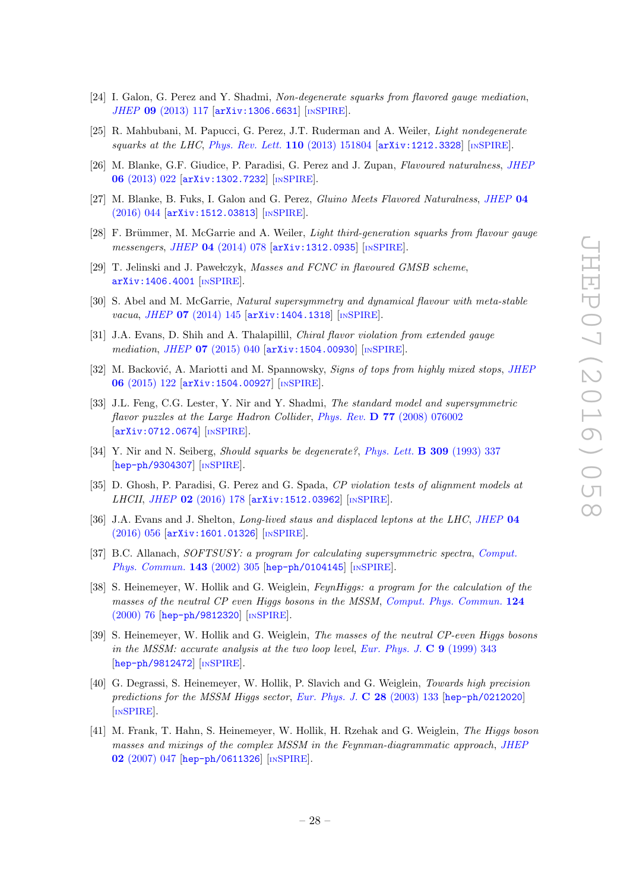- <span id="page-28-0"></span>[24] I. Galon, G. Perez and Y. Shadmi, Non-degenerate squarks from flavored gauge mediation, JHEP 09 [\(2013\) 117](http://dx.doi.org/10.1007/JHEP09(2013)117) [[arXiv:1306.6631](http://arxiv.org/abs/1306.6631)] [IN[SPIRE](http://inspirehep.net/search?p=find+EPRINT+arXiv:1306.6631)].
- <span id="page-28-1"></span>[25] R. Mahbubani, M. Papucci, G. Perez, J.T. Ruderman and A. Weiler, Light nondegenerate squarks at the LHC, [Phys. Rev. Lett.](http://dx.doi.org/10.1103/PhysRevLett.110.151804)  $110$  (2013) 151804  $\left[$ [arXiv:1212.3328](http://arxiv.org/abs/1212.3328) $\right]$  [IN[SPIRE](http://inspirehep.net/search?p=find+EPRINT+arXiv:1212.3328)].
- <span id="page-28-12"></span>[26] M. Blanke, G.F. Giudice, P. Paradisi, G. Perez and J. Zupan, Flavoured naturalness, [JHEP](http://dx.doi.org/10.1007/JHEP06(2013)022) 06 [\(2013\) 022](http://dx.doi.org/10.1007/JHEP06(2013)022) [[arXiv:1302.7232](http://arxiv.org/abs/1302.7232)] [IN[SPIRE](http://inspirehep.net/search?p=find+EPRINT+arXiv:1302.7232)].
- <span id="page-28-2"></span>[27] M. Blanke, B. Fuks, I. Galon and G. Perez, Gluino Meets Flavored Naturalness, [JHEP](http://dx.doi.org/10.1007/JHEP04(2016)044) 04 [\(2016\) 044](http://dx.doi.org/10.1007/JHEP04(2016)044) [[arXiv:1512.03813](http://arxiv.org/abs/1512.03813)] [IN[SPIRE](http://inspirehep.net/search?p=find+EPRINT+arXiv:1512.03813)].
- <span id="page-28-3"></span>[28] F. Brümmer, M. McGarrie and A. Weiler, *Light third-generation squarks from flavour gauge* messengers, JHEP 04 [\(2014\) 078](http://dx.doi.org/10.1007/JHEP04(2014)078) [[arXiv:1312.0935](http://arxiv.org/abs/1312.0935)] [IN[SPIRE](http://inspirehep.net/search?p=find+EPRINT+arXiv:1312.0935)].
- [29] T. Jelinski and J. Pawełczyk, Masses and FCNC in flavoured GMSB scheme, [arXiv:1406.4001](http://arxiv.org/abs/1406.4001) [IN[SPIRE](http://inspirehep.net/search?p=find+EPRINT+arXiv:1406.4001)].
- [30] S. Abel and M. McGarrie, Natural supersymmetry and dynamical flavour with meta-stable vacua, JHEP 07 [\(2014\) 145](http://dx.doi.org/10.1007/JHEP07(2014)145) [[arXiv:1404.1318](http://arxiv.org/abs/1404.1318)] [IN[SPIRE](http://inspirehep.net/search?p=find+EPRINT+arXiv:1404.1318)].
- <span id="page-28-4"></span>[31] J.A. Evans, D. Shih and A. Thalapillil, Chiral flavor violation from extended gauge mediation, JHEP 07 [\(2015\) 040](http://dx.doi.org/10.1007/JHEP07(2015)040) [[arXiv:1504.00930](http://arxiv.org/abs/1504.00930)] [IN[SPIRE](http://inspirehep.net/search?p=find+EPRINT+arXiv:1504.00930)].
- <span id="page-28-5"></span>[32] M. Backović, A. Mariotti and M. Spannowsky, Signs of tops from highly mixed stops, [JHEP](http://dx.doi.org/10.1007/JHEP06(2015)122) 06 [\(2015\) 122](http://dx.doi.org/10.1007/JHEP06(2015)122) [[arXiv:1504.00927](http://arxiv.org/abs/1504.00927)] [IN[SPIRE](http://inspirehep.net/search?p=find+EPRINT+arXiv:1504.00927)].
- <span id="page-28-6"></span>[33] J.L. Feng, C.G. Lester, Y. Nir and Y. Shadmi, The standard model and supersymmetric flavor puzzles at the Large Hadron Collider, Phys. Rev. **D 77** [\(2008\) 076002](http://dx.doi.org/10.1103/PhysRevD.77.076002) [[arXiv:0712.0674](http://arxiv.org/abs/0712.0674)] [IN[SPIRE](http://inspirehep.net/search?p=find+EPRINT+arXiv:0712.0674)].
- <span id="page-28-7"></span>[34] Y. Nir and N. Seiberg, Should squarks be degenerate?, [Phys. Lett.](http://dx.doi.org/10.1016/0370-2693(93)90942-B) **B 309** (1993) 337 [[hep-ph/9304307](http://arxiv.org/abs/hep-ph/9304307)] [IN[SPIRE](http://inspirehep.net/search?p=find+EPRINT+hep-ph/9304307)].
- <span id="page-28-8"></span>[35] D. Ghosh, P. Paradisi, G. Perez and G. Spada, CP violation tests of alignment models at LHCII, JHEP 02 [\(2016\) 178](http://dx.doi.org/10.1007/JHEP02(2016)178) [[arXiv:1512.03962](http://arxiv.org/abs/1512.03962)] [IN[SPIRE](http://inspirehep.net/search?p=find+EPRINT+arXiv:1512.03962)].
- <span id="page-28-9"></span>[36] J.A. Evans and J. Shelton, Long-lived staus and displaced leptons at the LHC, [JHEP](http://dx.doi.org/10.1007/JHEP04(2016)056) 04 [\(2016\) 056](http://dx.doi.org/10.1007/JHEP04(2016)056) [[arXiv:1601.01326](http://arxiv.org/abs/1601.01326)] [IN[SPIRE](http://inspirehep.net/search?p=find+EPRINT+arXiv:1601.01326)].
- <span id="page-28-10"></span>[37] B.C. Allanach, SOFTSUSY: a program for calculating supersymmetric spectra, [Comput.](http://dx.doi.org/10.1016/S0010-4655(01)00460-X) [Phys. Commun.](http://dx.doi.org/10.1016/S0010-4655(01)00460-X) **143** (2002) 305 [[hep-ph/0104145](http://arxiv.org/abs/hep-ph/0104145)] [IN[SPIRE](http://inspirehep.net/search?p=find+EPRINT+hep-ph/0104145)].
- <span id="page-28-11"></span>[38] S. Heinemeyer, W. Hollik and G. Weiglein, FeynHiggs: a program for the calculation of the masses of the neutral CP even Higgs bosons in the MSSM, [Comput. Phys. Commun.](http://dx.doi.org/10.1016/S0010-4655(99)00364-1) 124 [\(2000\) 76](http://dx.doi.org/10.1016/S0010-4655(99)00364-1) [[hep-ph/9812320](http://arxiv.org/abs/hep-ph/9812320)] [IN[SPIRE](http://inspirehep.net/search?p=find+EPRINT+hep-ph/9812320)].
- [39] S. Heinemeyer, W. Hollik and G. Weiglein, The masses of the neutral CP-even Higgs bosons in the MSSM: accurate analysis at the two loop level, [Eur. Phys. J.](http://dx.doi.org/10.1007/s100529900006)  $\bf{C}$  9 (1999) 343 [[hep-ph/9812472](http://arxiv.org/abs/hep-ph/9812472)] [IN[SPIRE](http://inspirehep.net/search?p=find+EPRINT+hep-ph/9812472)].
- [40] G. Degrassi, S. Heinemeyer, W. Hollik, P. Slavich and G. Weiglein, Towards high precision predictions for the MSSM Higgs sector, [Eur. Phys. J.](http://dx.doi.org/10.1140/epjc/s2003-01152-2) C 28 (2003) 133 [[hep-ph/0212020](http://arxiv.org/abs/hep-ph/0212020)] [IN[SPIRE](http://inspirehep.net/search?p=find+EPRINT+hep-ph/0212020)].
- [41] M. Frank, T. Hahn, S. Heinemeyer, W. Hollik, H. Rzehak and G. Weiglein, The Higgs boson masses and mixings of the complex MSSM in the Feynman-diagrammatic approach, [JHEP](http://dx.doi.org/10.1088/1126-6708/2007/02/047) 02 [\(2007\) 047](http://dx.doi.org/10.1088/1126-6708/2007/02/047) [[hep-ph/0611326](http://arxiv.org/abs/hep-ph/0611326)] [IN[SPIRE](http://inspirehep.net/search?p=find+EPRINT+hep-ph/0611326)].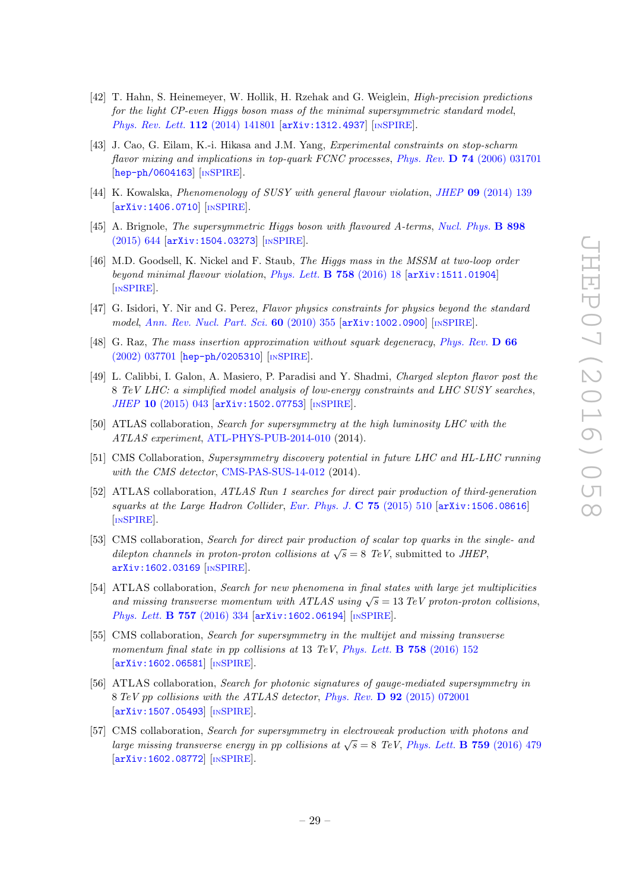- <span id="page-29-0"></span>[42] T. Hahn, S. Heinemeyer, W. Hollik, H. Rzehak and G. Weiglein, High-precision predictions for the light CP-even Higgs boson mass of the minimal supersymmetric standard model, [Phys. Rev. Lett.](http://dx.doi.org/10.1103/PhysRevLett.112.141801) 112 (2014) 141801 [[arXiv:1312.4937](http://arxiv.org/abs/1312.4937)] [IN[SPIRE](http://inspirehep.net/search?p=find+EPRINT+arXiv:1312.4937)].
- <span id="page-29-1"></span>[43] J. Cao, G. Eilam, K.-i. Hikasa and J.M. Yang, Experimental constraints on stop-scharm flavor mixing and implications in top-quark FCNC processes, Phys. Rev. **D** 74 [\(2006\) 031701](http://dx.doi.org/10.1103/PhysRevD.74.031701) [[hep-ph/0604163](http://arxiv.org/abs/hep-ph/0604163)] [IN[SPIRE](http://inspirehep.net/search?p=find+EPRINT+hep-ph/0604163)].
- [44] K. Kowalska, *Phenomenology of SUSY with general flavour violation, JHEP* 09 [\(2014\) 139](http://dx.doi.org/10.1007/JHEP09(2014)139) [[arXiv:1406.0710](http://arxiv.org/abs/1406.0710)] [IN[SPIRE](http://inspirehep.net/search?p=find+EPRINT+arXiv:1406.0710)].
- [45] A. Brignole, The supersymmetric Higgs boson with flavoured A-terms, [Nucl. Phys.](http://dx.doi.org/10.1016/j.nuclphysb.2015.07.025) B 898 [\(2015\) 644](http://dx.doi.org/10.1016/j.nuclphysb.2015.07.025) [[arXiv:1504.03273](http://arxiv.org/abs/1504.03273)] [IN[SPIRE](http://inspirehep.net/search?p=find+EPRINT+arXiv:1504.03273)].
- <span id="page-29-2"></span>[46] M.D. Goodsell, K. Nickel and F. Staub, The Higgs mass in the MSSM at two-loop order beyond minimal flavour violation, [Phys. Lett.](http://dx.doi.org/10.1016/j.physletb.2016.04.034) B 758 (2016) 18 [[arXiv:1511.01904](http://arxiv.org/abs/1511.01904)] [IN[SPIRE](http://inspirehep.net/search?p=find+EPRINT+arXiv:1511.01904)].
- <span id="page-29-3"></span>[47] G. Isidori, Y. Nir and G. Perez, Flavor physics constraints for physics beyond the standard model, [Ann. Rev. Nucl. Part. Sci.](http://dx.doi.org/10.1146/annurev.nucl.012809.104534) 60 (2010) 355 [[arXiv:1002.0900](http://arxiv.org/abs/1002.0900)] [IN[SPIRE](http://inspirehep.net/search?p=find+EPRINT+arXiv:1002.0900)].
- <span id="page-29-4"></span>[48] G. Raz, The mass insertion approximation without squark degeneracy, [Phys. Rev.](http://dx.doi.org/10.1103/PhysRevD.66.037701) D 66 [\(2002\) 037701](http://dx.doi.org/10.1103/PhysRevD.66.037701) [[hep-ph/0205310](http://arxiv.org/abs/hep-ph/0205310)] [IN[SPIRE](http://inspirehep.net/search?p=find+EPRINT+hep-ph/0205310)].
- <span id="page-29-5"></span>[49] L. Calibbi, I. Galon, A. Masiero, P. Paradisi and Y. Shadmi, Charged slepton flavor post the 8 TeV LHC: a simplified model analysis of low-energy constraints and LHC SUSY searches, JHEP 10 [\(2015\) 043](http://dx.doi.org/10.1007/JHEP10(2015)043) [[arXiv:1502.07753](http://arxiv.org/abs/1502.07753)] [IN[SPIRE](http://inspirehep.net/search?p=find+EPRINT+arXiv:1502.07753)].
- <span id="page-29-6"></span>[50] ATLAS collaboration, Search for supersymmetry at the high luminosity LHC with the ATLAS experiment, [ATL-PHYS-PUB-2014-010](http://cds.cern.ch/record/1735031) (2014).
- <span id="page-29-7"></span>[51] CMS Collaboration, Supersymmetry discovery potential in future LHC and HL-LHC running with the CMS detector, [CMS-PAS-SUS-14-012](http://cds.cern.ch/record/1981344) (2014).
- <span id="page-29-8"></span>[52] ATLAS collaboration, ATLAS Run 1 searches for direct pair production of third-generation squarks at the Large Hadron Collider, [Eur. Phys. J.](http://dx.doi.org/10.1140/epjc/s10052-015-3726-9) C 75 (2015) 510 [[arXiv:1506.08616](http://arxiv.org/abs/1506.08616)] [IN[SPIRE](http://inspirehep.net/search?p=find+EPRINT+arXiv:1506.08616)].
- <span id="page-29-9"></span>[53] CMS collaboration, Search for direct pair production of scalar top quarks in the single- and  $\sigma$  different channels in proton-proton collisions at  $\sqrt{s} = 8$  TeV, submitted to JHEP, [arXiv:1602.03169](http://arxiv.org/abs/1602.03169) [IN[SPIRE](http://inspirehep.net/search?p=find+EPRINT+arXiv:1602.03169)].
- <span id="page-29-10"></span>[54] ATLAS collaboration, Search for new phenomena in final states with large jet multiplicities and missing transverse momentum with ATLAS using  $\sqrt{s} = 13 \text{ TeV}$  proton-proton collisions, [Phys. Lett.](http://dx.doi.org/10.1016/j.physletb.2016.04.005) **B 757** (2016) 334 [[arXiv:1602.06194](http://arxiv.org/abs/1602.06194)] [IN[SPIRE](http://inspirehep.net/search?p=find+EPRINT+arXiv:1602.06194)].
- <span id="page-29-11"></span>[55] CMS collaboration, Search for supersymmetry in the multijet and missing transverse momentum final state in pp collisions at 13 TeV, [Phys. Lett.](http://dx.doi.org/10.1016/j.physletb.2016.05.002) **B 758** (2016) 152 [[arXiv:1602.06581](http://arxiv.org/abs/1602.06581)] [IN[SPIRE](http://inspirehep.net/search?p=find+EPRINT+arXiv:1602.06581)].
- <span id="page-29-12"></span>[56] ATLAS collaboration, Search for photonic signatures of gauge-mediated supersymmetry in 8 TeV pp collisions with the ATLAS detector, Phys. Rev. D 92 [\(2015\) 072001](http://dx.doi.org/10.1103/PhysRevD.92.072001) [[arXiv:1507.05493](http://arxiv.org/abs/1507.05493)] [IN[SPIRE](http://inspirehep.net/search?p=find+EPRINT+arXiv:1507.05493)].
- <span id="page-29-13"></span>[57] CMS collaboration, Search for supersymmetry in electroweak production with photons and large missing transverse energy in pp collisions at  $\sqrt{s} = 8$  TeV, [Phys. Lett.](http://dx.doi.org/10.1016/j.physletb.2016.05.088) **B 759** (2016) 479 [[arXiv:1602.08772](http://arxiv.org/abs/1602.08772)] [IN[SPIRE](http://inspirehep.net/search?p=find+EPRINT+arXiv:1602.08772)].